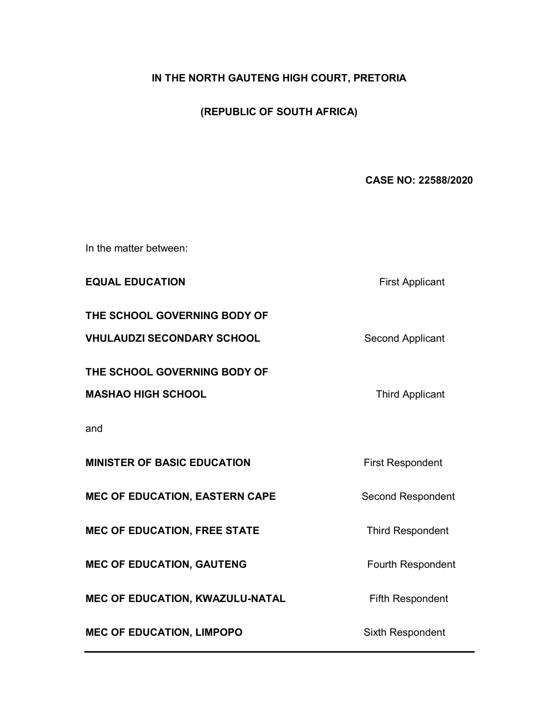# **IN THE NORTH GAUTENG HIGH COURT, PRETORIA**

# **(REPUBLIC OF SOUTH AFRICA)**

# **CASE NO: 22588/2020**

In the matter between:

**EQUAL EDUCATION First Applicant** 

**THE SCHOOL GOVERNING BODY OF** 

**VHULAUDZI SECONDARY SCHOOL** Second Applicant

**THE SCHOOL GOVERNING BODY OF** 

**MASHAO HIGH SCHOOL** Third Applicant

and

**MINISTER OF BASIC EDUCATION** First Respondent

**MEC OF EDUCATION, EASTERN CAPE Second Respondent** 

**MEC OF EDUCATION, FREE STATE** Third Respondent

**MEC OF EDUCATION, GAUTENG** Fourth Respondent

**MEC OF EDUCATION, KWAZULU-NATAL Fifth Respondent** 

**MEC OF EDUCATION, LIMPOPO** Sixth Respondent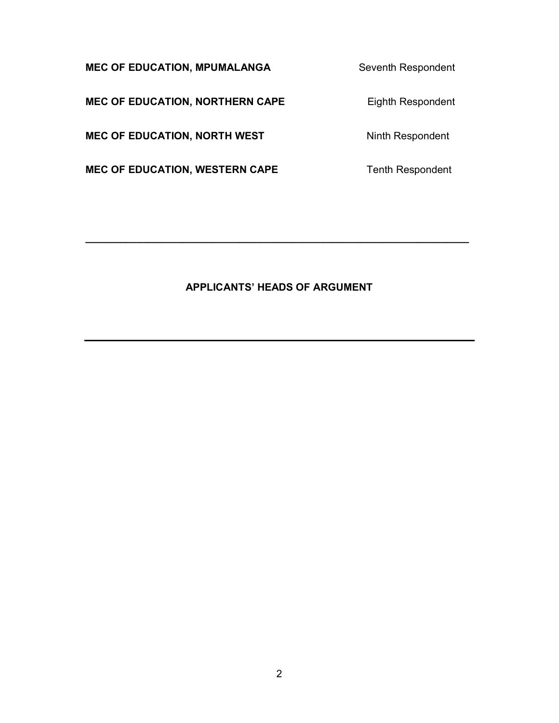**MEC OF EDUCATION, MPUMALANGA** Seventh Respondent

**MEC OF EDUCATION, NORTHERN CAPE** Eighth Respondent

**MEC OF EDUCATION, NORTH WEST Ninth Respondent** 

**MEC OF EDUCATION, WESTERN CAPE** Tenth Respondent

# **APPLICANTS' HEADS OF ARGUMENT**

**\_\_\_\_\_\_\_\_\_\_\_\_\_\_\_\_\_\_\_\_\_\_\_\_\_\_\_\_\_\_\_\_\_\_\_\_\_\_\_\_\_\_\_\_\_\_\_\_\_\_\_\_\_\_\_\_\_\_\_\_\_\_\_\_\_\_\_**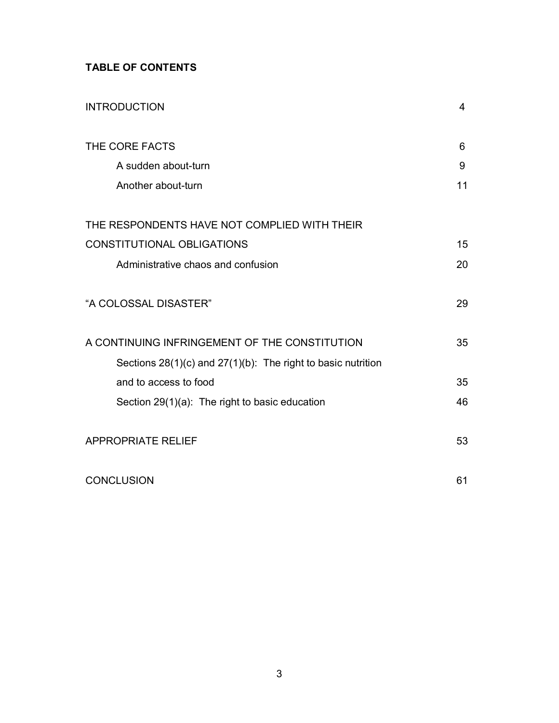# **TABLE OF CONTENTS**

| <b>INTRODUCTION</b>                                               | 4  |
|-------------------------------------------------------------------|----|
| THE CORE FACTS                                                    | 6  |
| A sudden about-turn                                               | 9  |
| Another about-turn                                                | 11 |
| THE RESPONDENTS HAVE NOT COMPLIED WITH THEIR                      |    |
| <b>CONSTITUTIONAL OBLIGATIONS</b>                                 | 15 |
| Administrative chaos and confusion                                | 20 |
| "A COLOSSAL DISASTER"                                             | 29 |
| A CONTINUING INFRINGEMENT OF THE CONSTITUTION                     | 35 |
| Sections $28(1)(c)$ and $27(1)(b)$ : The right to basic nutrition |    |
| and to access to food                                             | 35 |
| Section 29(1)(a): The right to basic education                    | 46 |
| <b>APPROPRIATE RELIEF</b>                                         | 53 |
| <b>CONCLUSION</b>                                                 | 61 |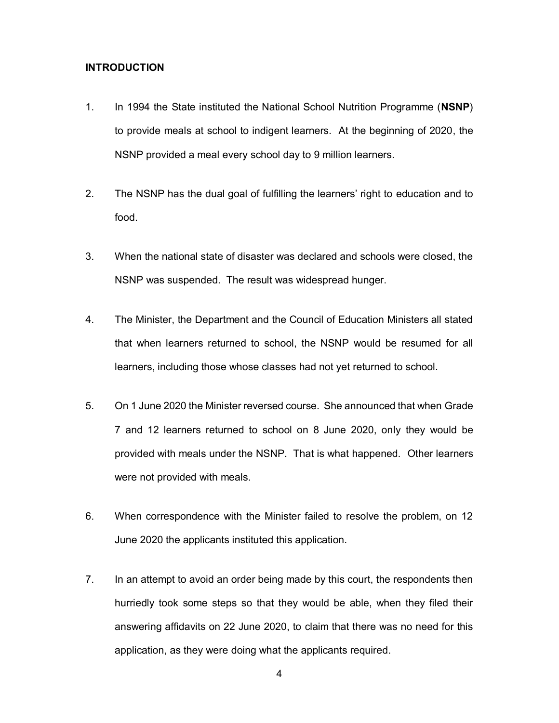## **INTRODUCTION**

- 1. In 1994 the State instituted the National School Nutrition Programme (**NSNP**) to provide meals at school to indigent learners. At the beginning of 2020, the NSNP provided a meal every school day to 9 million learners.
- 2. The NSNP has the dual goal of fulfilling the learners' right to education and to food.
- 3. When the national state of disaster was declared and schools were closed, the NSNP was suspended. The result was widespread hunger.
- 4. The Minister, the Department and the Council of Education Ministers all stated that when learners returned to school, the NSNP would be resumed for all learners, including those whose classes had not yet returned to school.
- 5. On 1 June 2020 the Minister reversed course. She announced that when Grade 7 and 12 learners returned to school on 8 June 2020, only they would be provided with meals under the NSNP. That is what happened. Other learners were not provided with meals.
- 6. When correspondence with the Minister failed to resolve the problem, on 12 June 2020 the applicants instituted this application.
- 7. In an attempt to avoid an order being made by this court, the respondents then hurriedly took some steps so that they would be able, when they filed their answering affidavits on 22 June 2020, to claim that there was no need for this application, as they were doing what the applicants required.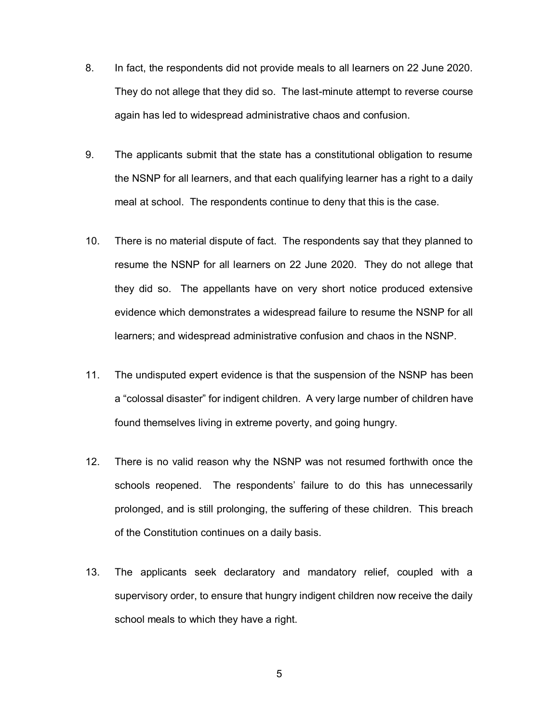- 8. In fact, the respondents did not provide meals to all learners on 22 June 2020. They do not allege that they did so. The last-minute attempt to reverse course again has led to widespread administrative chaos and confusion.
- 9. The applicants submit that the state has a constitutional obligation to resume the NSNP for all learners, and that each qualifying learner has a right to a daily meal at school. The respondents continue to deny that this is the case.
- 10. There is no material dispute of fact. The respondents say that they planned to resume the NSNP for all learners on 22 June 2020. They do not allege that they did so. The appellants have on very short notice produced extensive evidence which demonstrates a widespread failure to resume the NSNP for all learners; and widespread administrative confusion and chaos in the NSNP.
- 11. The undisputed expert evidence is that the suspension of the NSNP has been a "colossal disaster" for indigent children. A very large number of children have found themselves living in extreme poverty, and going hungry.
- 12. There is no valid reason why the NSNP was not resumed forthwith once the schools reopened. The respondents' failure to do this has unnecessarily prolonged, and is still prolonging, the suffering of these children. This breach of the Constitution continues on a daily basis.
- 13. The applicants seek declaratory and mandatory relief, coupled with a supervisory order, to ensure that hungry indigent children now receive the daily school meals to which they have a right.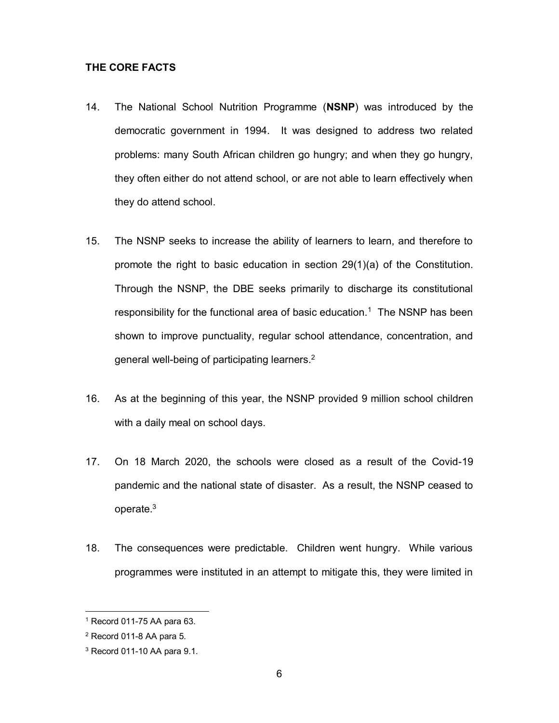### **THE CORE FACTS**

- 14. The National School Nutrition Programme (**NSNP**) was introduced by the democratic government in 1994. It was designed to address two related problems: many South African children go hungry; and when they go hungry, they often either do not attend school, or are not able to learn effectively when they do attend school.
- 15. The NSNP seeks to increase the ability of learners to learn, and therefore to promote the right to basic education in section 29(1)(a) of the Constitution. Through the NSNP, the DBE seeks primarily to discharge its constitutional responsibility for the functional area of basic education.<sup>1</sup> The NSNP has been shown to improve punctuality, regular school attendance, concentration, and general well-being of participating learners.2
- 16. As at the beginning of this year, the NSNP provided 9 million school children with a daily meal on school days.
- 17. On 18 March 2020, the schools were closed as a result of the Covid-19 pandemic and the national state of disaster. As a result, the NSNP ceased to operate.3
- 18. The consequences were predictable. Children went hungry. While various programmes were instituted in an attempt to mitigate this, they were limited in

<sup>1</sup> Record 011-75 AA para 63.

<sup>2</sup> Record 011-8 AA para 5.

<sup>3</sup> Record 011-10 AA para 9.1.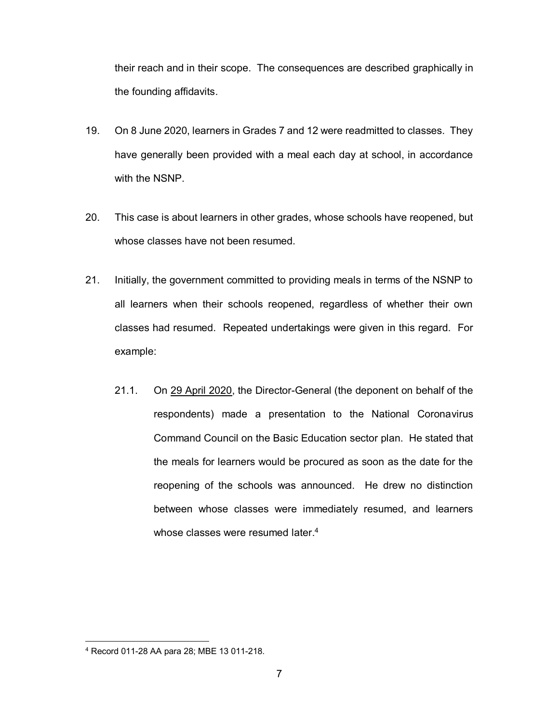their reach and in their scope. The consequences are described graphically in the founding affidavits.

- 19. On 8 June 2020, learners in Grades 7 and 12 were readmitted to classes. They have generally been provided with a meal each day at school, in accordance with the NSNP.
- 20. This case is about learners in other grades, whose schools have reopened, but whose classes have not been resumed.
- 21. Initially, the government committed to providing meals in terms of the NSNP to all learners when their schools reopened, regardless of whether their own classes had resumed. Repeated undertakings were given in this regard. For example:
	- 21.1. On 29 April 2020, the Director-General (the deponent on behalf of the respondents) made a presentation to the National Coronavirus Command Council on the Basic Education sector plan. He stated that the meals for learners would be procured as soon as the date for the reopening of the schools was announced. He drew no distinction between whose classes were immediately resumed, and learners whose classes were resumed later.<sup>4</sup>

<sup>4</sup> Record 011-28 AA para 28; MBE 13 011-218.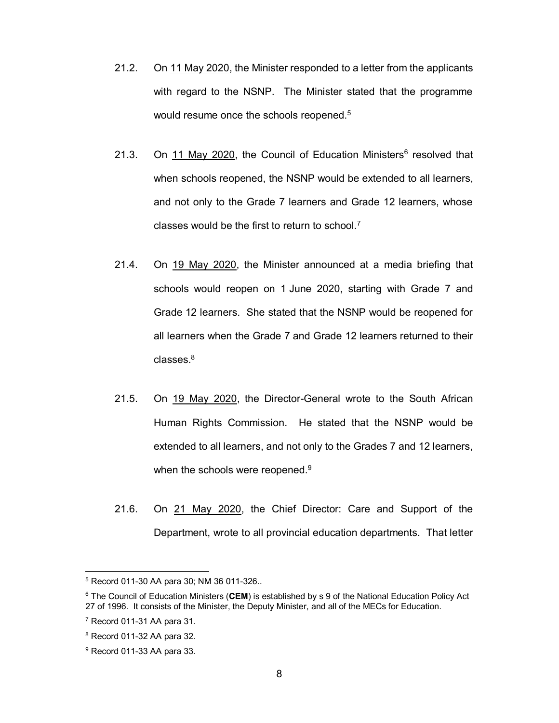- 21.2. On 11 May 2020, the Minister responded to a letter from the applicants with regard to the NSNP. The Minister stated that the programme would resume once the schools reopened.<sup>5</sup>
- 21.3. On 11 May 2020, the Council of Education Ministers $6$  resolved that when schools reopened, the NSNP would be extended to all learners, and not only to the Grade 7 learners and Grade 12 learners, whose classes would be the first to return to school. $<sup>7</sup>$ </sup>
- 21.4. On 19 May 2020, the Minister announced at a media briefing that schools would reopen on 1 June 2020, starting with Grade 7 and Grade 12 learners. She stated that the NSNP would be reopened for all learners when the Grade 7 and Grade 12 learners returned to their classes.8
- 21.5. On 19 May 2020, the Director-General wrote to the South African Human Rights Commission. He stated that the NSNP would be extended to all learners, and not only to the Grades 7 and 12 learners, when the schools were reopened.<sup>9</sup>
- 21.6. On 21 May 2020, the Chief Director: Care and Support of the Department, wrote to all provincial education departments. That letter

<sup>5</sup> Record 011-30 AA para 30; NM 36 011-326..

<sup>6</sup> The Council of Education Ministers (**CEM**) is established by s 9 of the National Education Policy Act 27 of 1996. It consists of the Minister, the Deputy Minister, and all of the MECs for Education.

 $7$  Record 011-31 AA para 31.

<sup>8</sup> Record 011-32 AA para 32.

<sup>9</sup> Record 011-33 AA para 33.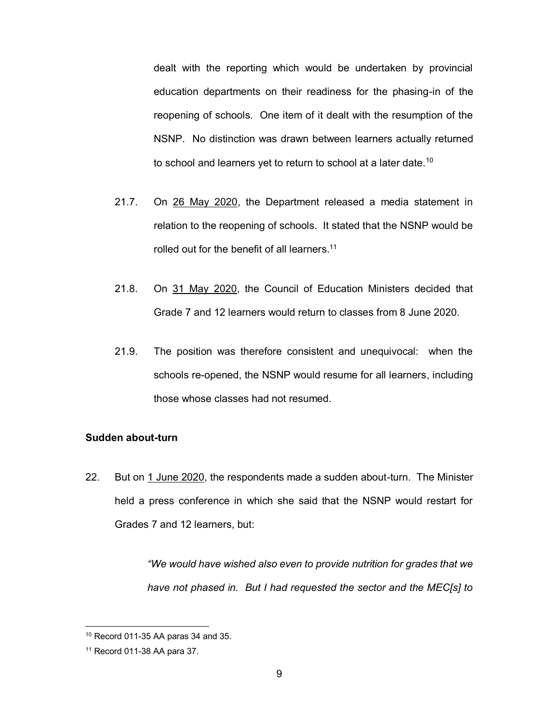dealt with the reporting which would be undertaken by provincial education departments on their readiness for the phasing-in of the reopening of schools. One item of it dealt with the resumption of the NSNP. No distinction was drawn between learners actually returned to school and learners yet to return to school at a later date.<sup>10</sup>

- 21.7. On 26 May 2020, the Department released a media statement in relation to the reopening of schools. It stated that the NSNP would be rolled out for the benefit of all learners.<sup>11</sup>
- 21.8. On 31 May 2020, the Council of Education Ministers decided that Grade 7 and 12 learners would return to classes from 8 June 2020.
- 21.9. The position was therefore consistent and unequivocal: when the schools re-opened, the NSNP would resume for all learners, including those whose classes had not resumed.

# **Sudden about-turn**

22. But on 1 June 2020, the respondents made a sudden about-turn. The Minister held a press conference in which she said that the NSNP would restart for Grades 7 and 12 learners, but:

> *"We would have wished also even to provide nutrition for grades that we have not phased in. But I had requested the sector and the MEC[s] to*

 $10$  Record 011-35 AA paras 34 and 35.

<sup>11</sup> Record 011-38 AA para 37.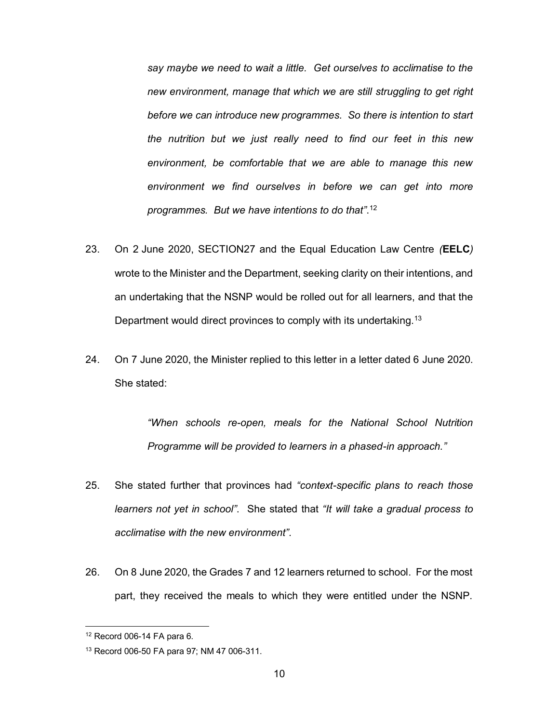*say maybe we need to wait a little. Get ourselves to acclimatise to the new environment, manage that which we are still struggling to get right before we can introduce new programmes. So there is intention to start the nutrition but we just really need to find our feet in this new environment, be comfortable that we are able to manage this new environment we find ourselves in before we can get into more programmes. But we have intentions to do that"*. 12

- 23. On 2 June 2020, SECTION27 and the Equal Education Law Centre *(***EELC***)* wrote to the Minister and the Department, seeking clarity on their intentions, and an undertaking that the NSNP would be rolled out for all learners, and that the Department would direct provinces to comply with its undertaking.<sup>13</sup>
- 24. On 7 June 2020, the Minister replied to this letter in a letter dated 6 June 2020. She stated:

*"When schools re-open, meals for the National School Nutrition Programme will be provided to learners in a phased-in approach."*

- 25. She stated further that provinces had *"context-specific plans to reach those learners not yet in school"*. She stated that *"It will take a gradual process to acclimatise with the new environment"*.
- 26. On 8 June 2020, the Grades 7 and 12 learners returned to school. For the most part, they received the meals to which they were entitled under the NSNP.

<sup>12</sup> Record 006-14 FA para 6.

<sup>13</sup> Record 006-50 FA para 97; NM 47 006-311.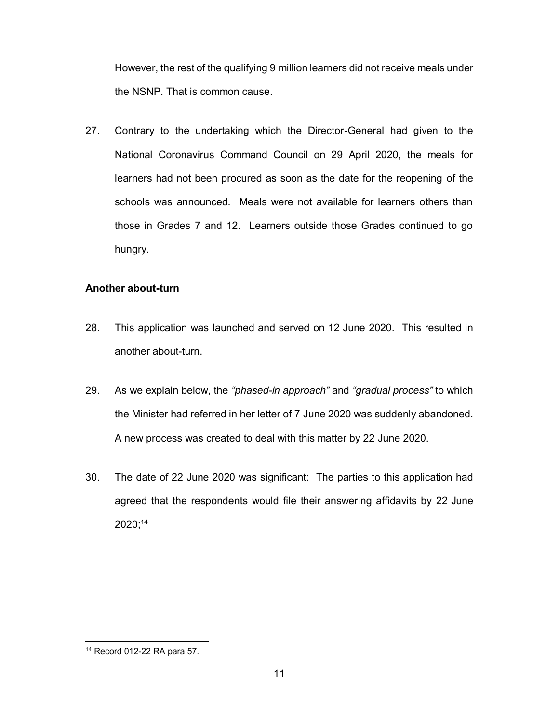However, the rest of the qualifying 9 million learners did not receive meals under the NSNP. That is common cause.

27. Contrary to the undertaking which the Director-General had given to the National Coronavirus Command Council on 29 April 2020, the meals for learners had not been procured as soon as the date for the reopening of the schools was announced. Meals were not available for learners others than those in Grades 7 and 12. Learners outside those Grades continued to go hungry.

# **Another about-turn**

- 28. This application was launched and served on 12 June 2020. This resulted in another about-turn.
- 29. As we explain below, the *"phased-in approach"* and *"gradual process"* to which the Minister had referred in her letter of 7 June 2020 was suddenly abandoned. A new process was created to deal with this matter by 22 June 2020.
- 30. The date of 22 June 2020 was significant: The parties to this application had agreed that the respondents would file their answering affidavits by 22 June 2020;14

<sup>14</sup> Record 012-22 RA para 57.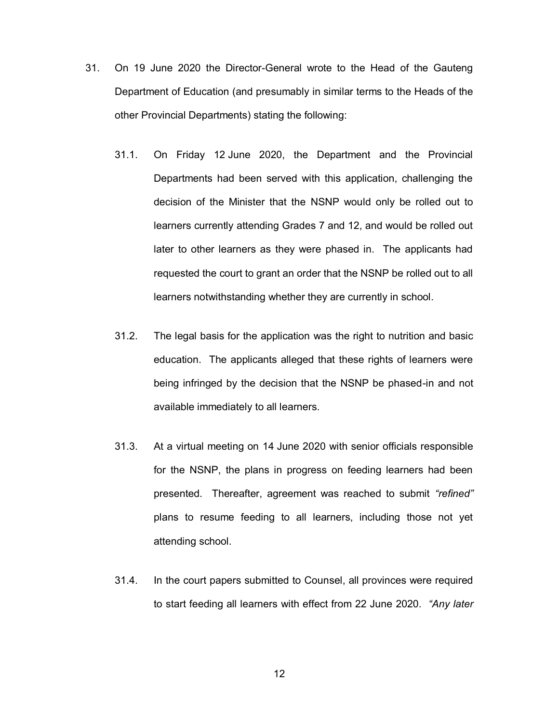- 31. On 19 June 2020 the Director-General wrote to the Head of the Gauteng Department of Education (and presumably in similar terms to the Heads of the other Provincial Departments) stating the following:
	- 31.1. On Friday 12 June 2020, the Department and the Provincial Departments had been served with this application, challenging the decision of the Minister that the NSNP would only be rolled out to learners currently attending Grades 7 and 12, and would be rolled out later to other learners as they were phased in. The applicants had requested the court to grant an order that the NSNP be rolled out to all learners notwithstanding whether they are currently in school.
	- 31.2. The legal basis for the application was the right to nutrition and basic education. The applicants alleged that these rights of learners were being infringed by the decision that the NSNP be phased-in and not available immediately to all learners.
	- 31.3. At a virtual meeting on 14 June 2020 with senior officials responsible for the NSNP, the plans in progress on feeding learners had been presented. Thereafter, agreement was reached to submit *"refined"* plans to resume feeding to all learners, including those not yet attending school.
	- 31.4. In the court papers submitted to Counsel, all provinces were required to start feeding all learners with effect from 22 June 2020. *"Any later*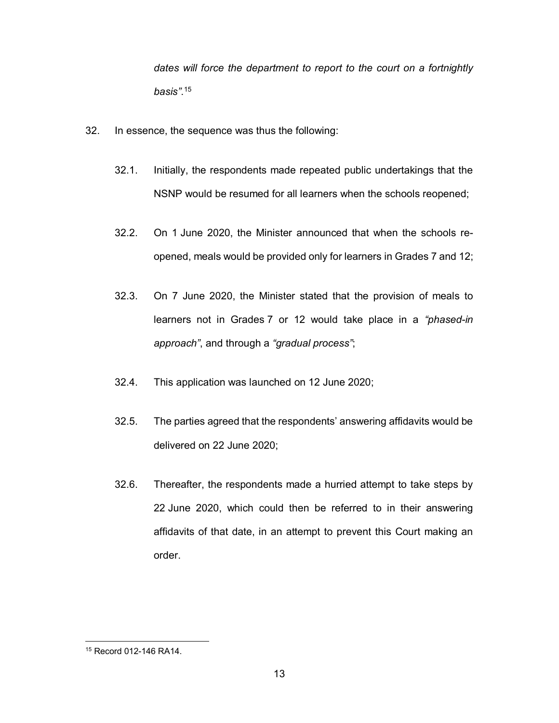*dates will force the department to report to the court on a fortnightly basis"*. 15

- 32. In essence, the sequence was thus the following:
	- 32.1. Initially, the respondents made repeated public undertakings that the NSNP would be resumed for all learners when the schools reopened;
	- 32.2. On 1 June 2020, the Minister announced that when the schools reopened, meals would be provided only for learners in Grades 7 and 12;
	- 32.3. On 7 June 2020, the Minister stated that the provision of meals to learners not in Grades 7 or 12 would take place in a *"phased-in approach"*, and through a *"gradual process"*;
	- 32.4. This application was launched on 12 June 2020;
	- 32.5. The parties agreed that the respondents' answering affidavits would be delivered on 22 June 2020;
	- 32.6. Thereafter, the respondents made a hurried attempt to take steps by 22 June 2020, which could then be referred to in their answering affidavits of that date, in an attempt to prevent this Court making an order.

<sup>15</sup> Record 012-146 RA14.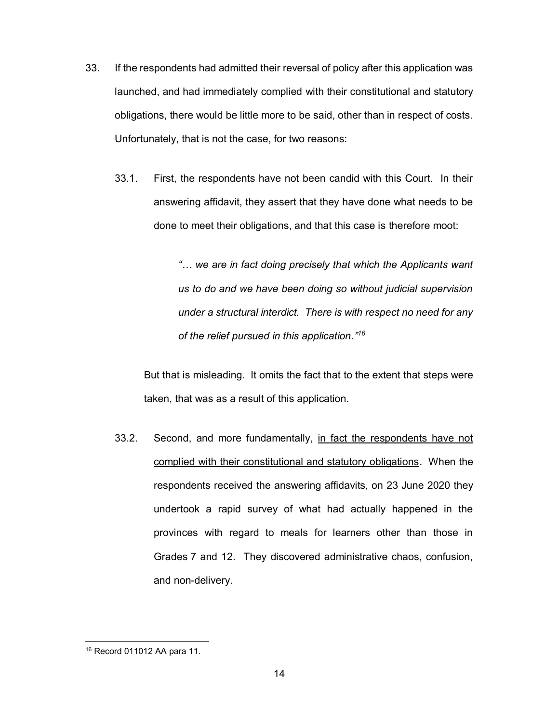- 33. If the respondents had admitted their reversal of policy after this application was launched, and had immediately complied with their constitutional and statutory obligations, there would be little more to be said, other than in respect of costs. Unfortunately, that is not the case, for two reasons:
	- 33.1. First, the respondents have not been candid with this Court. In their answering affidavit, they assert that they have done what needs to be done to meet their obligations, and that this case is therefore moot:

*"… we are in fact doing precisely that which the Applicants want us to do and we have been doing so without judicial supervision under a structural interdict. There is with respect no need for any of the relief pursued in this application." 16*

But that is misleading. It omits the fact that to the extent that steps were taken, that was as a result of this application.

33.2. Second, and more fundamentally, in fact the respondents have not complied with their constitutional and statutory obligations. When the respondents received the answering affidavits, on 23 June 2020 they undertook a rapid survey of what had actually happened in the provinces with regard to meals for learners other than those in Grades 7 and 12. They discovered administrative chaos, confusion, and non-delivery.

<sup>16</sup> Record 011012 AA para 11.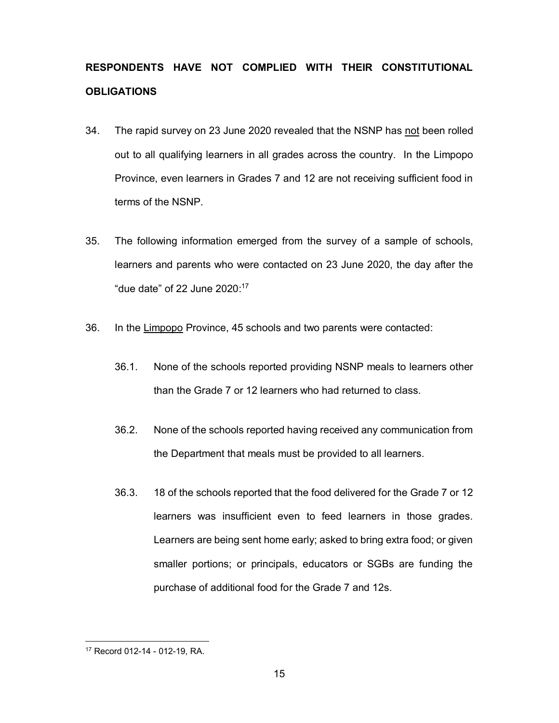# **RESPONDENTS HAVE NOT COMPLIED WITH THEIR CONSTITUTIONAL OBLIGATIONS**

- 34. The rapid survey on 23 June 2020 revealed that the NSNP has not been rolled out to all qualifying learners in all grades across the country. In the Limpopo Province, even learners in Grades 7 and 12 are not receiving sufficient food in terms of the NSNP.
- 35. The following information emerged from the survey of a sample of schools, learners and parents who were contacted on 23 June 2020, the day after the "due date" of 22 June 2020: 17
- 36. In the Limpopo Province, 45 schools and two parents were contacted:
	- 36.1. None of the schools reported providing NSNP meals to learners other than the Grade 7 or 12 learners who had returned to class.
	- 36.2. None of the schools reported having received any communication from the Department that meals must be provided to all learners.
	- 36.3. 18 of the schools reported that the food delivered for the Grade 7 or 12 learners was insufficient even to feed learners in those grades. Learners are being sent home early; asked to bring extra food; or given smaller portions; or principals, educators or SGBs are funding the purchase of additional food for the Grade 7 and 12s.

<sup>17</sup> Record 012-14 - 012-19, RA.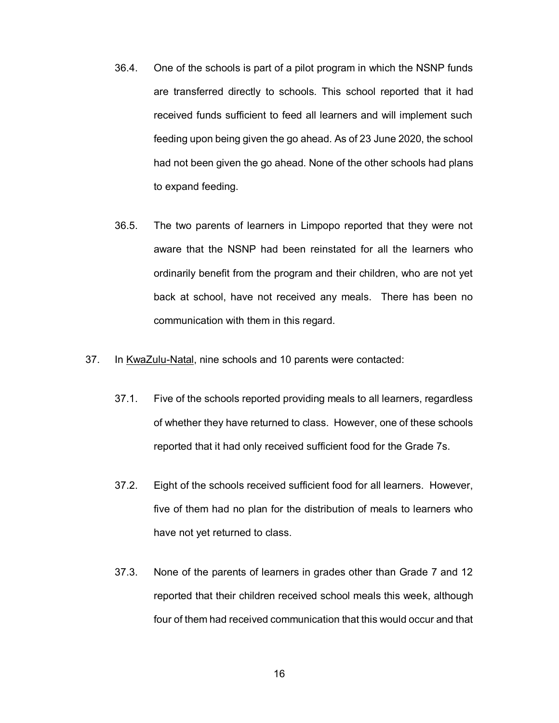- 36.4. One of the schools is part of a pilot program in which the NSNP funds are transferred directly to schools. This school reported that it had received funds sufficient to feed all learners and will implement such feeding upon being given the go ahead. As of 23 June 2020, the school had not been given the go ahead. None of the other schools had plans to expand feeding.
- 36.5. The two parents of learners in Limpopo reported that they were not aware that the NSNP had been reinstated for all the learners who ordinarily benefit from the program and their children, who are not yet back at school, have not received any meals. There has been no communication with them in this regard.
- 37. In KwaZulu-Natal, nine schools and 10 parents were contacted:
	- 37.1. Five of the schools reported providing meals to all learners, regardless of whether they have returned to class. However, one of these schools reported that it had only received sufficient food for the Grade 7s.
	- 37.2. Eight of the schools received sufficient food for all learners. However, five of them had no plan for the distribution of meals to learners who have not yet returned to class.
	- 37.3. None of the parents of learners in grades other than Grade 7 and 12 reported that their children received school meals this week, although four of them had received communication that this would occur and that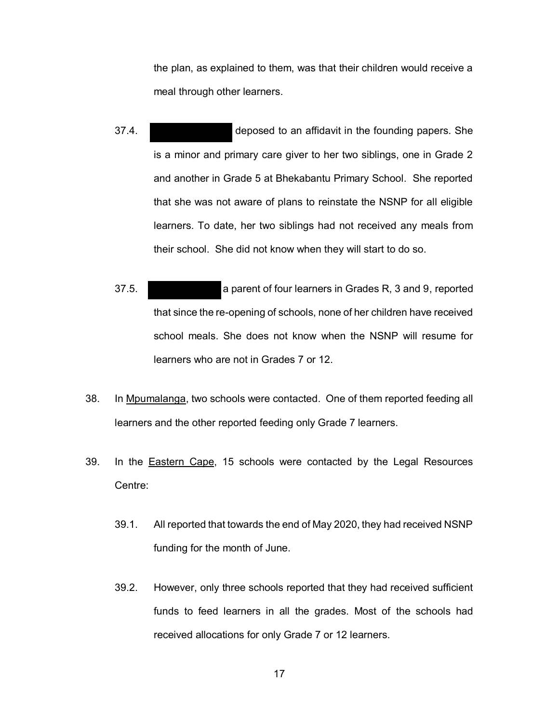the plan, as explained to them, was that their children would receive a meal through other learners.

- 37.4. Those deposed to an affidavit in the founding papers. She is a minor and primary care giver to her two siblings, one in Grade 2 and another in Grade 5 at Bhekabantu Primary School. She reported that she was not aware of plans to reinstate the NSNP for all eligible learners. To date, her two siblings had not received any meals from their school. She did not know when they will start to do so.
- 37.5. Fig. 2. Fig. 2. Fig. 2. Fig. 2. Fig. 2. Fig. 2. Fig. 2. Fig. 2. Fig. 2. Fig. 2. Fig. 2. Fig. 2. Fig. 2. Fig. 2. Fig. 2. Fig. 2. Fig. 2. Fig. 2. Fig. 2. Fig. 2. Fig. 2. Fig. 2. Fig. 2. Fig. 2. Fig. 2. Fig. 2. Fig. 2. that since the re-opening of schools, none of her children have received school meals. She does not know when the NSNP will resume for learners who are not in Grades 7 or 12.
- 38. In Mpumalanga, two schools were contacted. One of them reported feeding all learners and the other reported feeding only Grade 7 learners.
- 39. In the **Eastern Cape**, 15 schools were contacted by the Legal Resources Centre:
	- 39.1. All reported that towards the end of May 2020, they had received NSNP funding for the month of June.
	- 39.2. However, only three schools reported that they had received sufficient funds to feed learners in all the grades. Most of the schools had received allocations for only Grade 7 or 12 learners.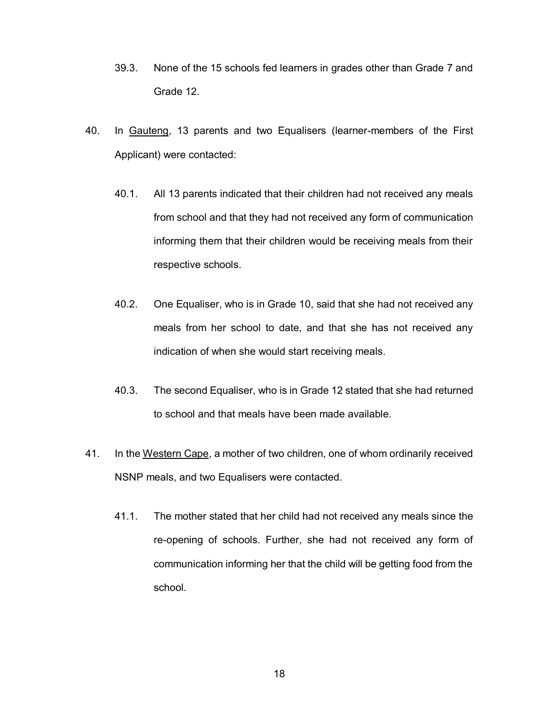- 39.3. None of the 15 schools fed learners in grades other than Grade 7 and Grade 12.
- 40. In Gauteng, 13 parents and two Equalisers (learner-members of the First Applicant) were contacted:
	- 40.1. All 13 parents indicated that their children had not received any meals from school and that they had not received any form of communication informing them that their children would be receiving meals from their respective schools.
	- 40.2. One Equaliser, who is in Grade 10, said that she had not received any meals from her school to date, and that she has not received any indication of when she would start receiving meals.
	- 40.3. The second Equaliser, who is in Grade 12 stated that she had returned to school and that meals have been made available.
- 41. In the Western Cape, a mother of two children, one of whom ordinarily received NSNP meals, and two Equalisers were contacted.
	- 41.1. The mother stated that her child had not received any meals since the re-opening of schools. Further, she had not received any form of communication informing her that the child will be getting food from the school.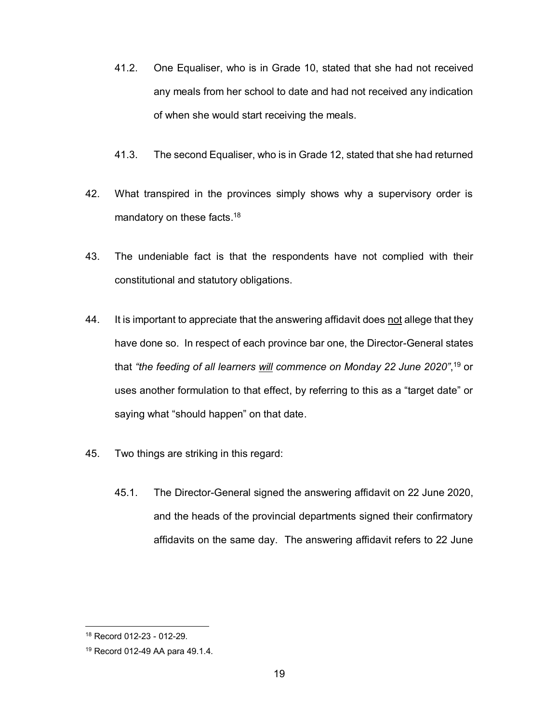- 41.2. One Equaliser, who is in Grade 10, stated that she had not received any meals from her school to date and had not received any indication of when she would start receiving the meals.
- 41.3. The second Equaliser, who is in Grade 12, stated that she had returned
- 42. What transpired in the provinces simply shows why a supervisory order is mandatory on these facts.<sup>18</sup>
- 43. The undeniable fact is that the respondents have not complied with their constitutional and statutory obligations.
- 44. It is important to appreciate that the answering affidavit does not allege that they have done so. In respect of each province bar one, the Director-General states that *"the feeding of all learners will commence on Monday 22 June 2020"*, <sup>19</sup> or uses another formulation to that effect, by referring to this as a "target date" or saying what "should happen" on that date.
- 45. Two things are striking in this regard:
	- 45.1. The Director-General signed the answering affidavit on 22 June 2020, and the heads of the provincial departments signed their confirmatory affidavits on the same day. The answering affidavit refers to 22 June

<sup>18</sup> Record 012-23 - 012-29.

<sup>19</sup> Record 012-49 AA para 49.1.4.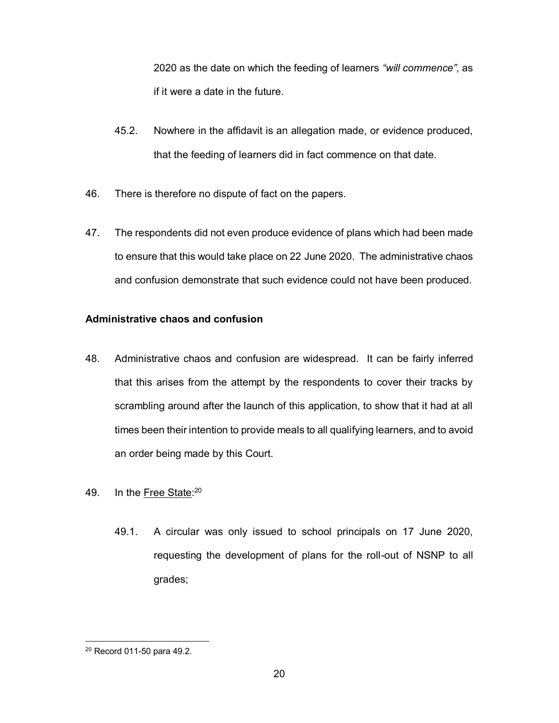2020 as the date on which the feeding of learners *"will commence"*, as if it were a date in the future.

- 45.2. Nowhere in the affidavit is an allegation made, or evidence produced, that the feeding of learners did in fact commence on that date.
- 46. There is therefore no dispute of fact on the papers.
- 47. The respondents did not even produce evidence of plans which had been made to ensure that this would take place on 22 June 2020. The administrative chaos and confusion demonstrate that such evidence could not have been produced.

# **Administrative chaos and confusion**

- 48. Administrative chaos and confusion are widespread. It can be fairly inferred that this arises from the attempt by the respondents to cover their tracks by scrambling around after the launch of this application, to show that it had at all times been their intention to provide meals to all qualifying learners, and to avoid an order being made by this Court.
- 49. In the <u>Free State</u>:<sup>20</sup>
	- 49.1. A circular was only issued to school principals on 17 June 2020, requesting the development of plans for the roll-out of NSNP to all grades;

<sup>1</sup> <sup>20</sup> Record 011-50 para 49.2.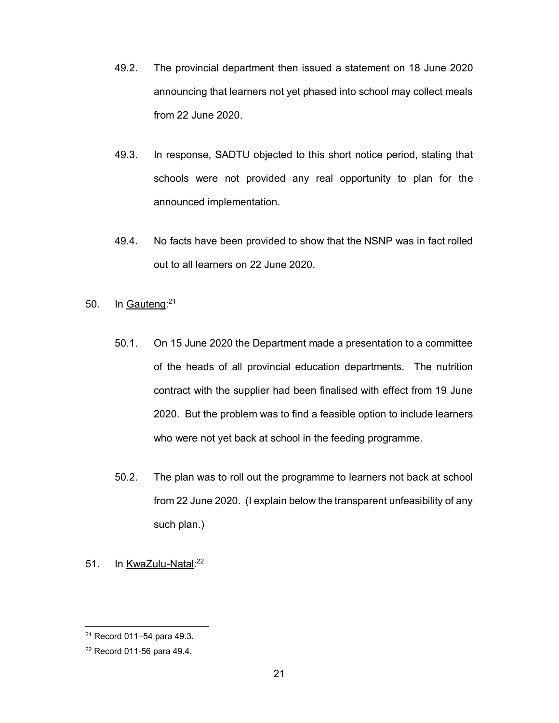- 49.2. The provincial department then issued a statement on 18 June 2020 announcing that learners not yet phased into school may collect meals from 22 June 2020.
- 49.3. In response, SADTU objected to this short notice period, stating that schools were not provided any real opportunity to plan for the announced implementation.
- 49.4. No facts have been provided to show that the NSNP was in fact rolled out to all learners on 22 June 2020.
- 50. In Gauteng:<sup>21</sup>
	- 50.1. On 15 June 2020 the Department made a presentation to a committee of the heads of all provincial education departments. The nutrition contract with the supplier had been finalised with effect from 19 June 2020. But the problem was to find a feasible option to include learners who were not yet back at school in the feeding programme.
	- 50.2. The plan was to roll out the programme to learners not back at school from 22 June 2020. (I explain below the transparent unfeasibility of any such plan.)
- 51. In KwaZulu-Natal:<sup>22</sup>

<sup>21</sup> Record 011–54 para 49.3.

<sup>22</sup> Record 011-56 para 49.4.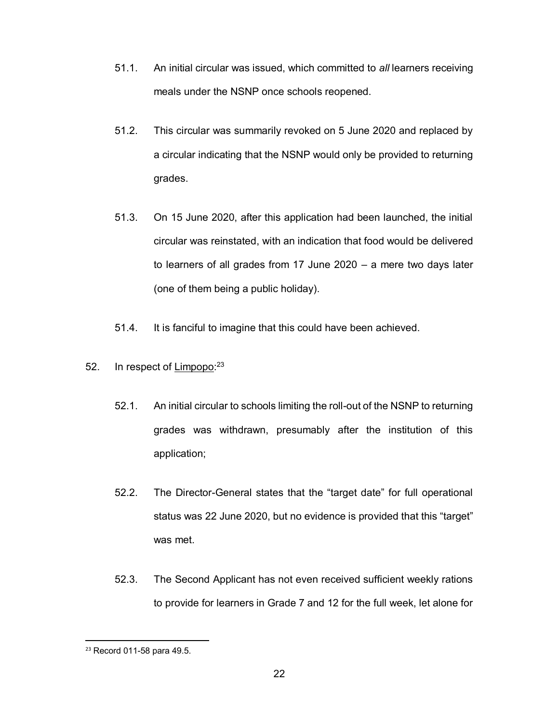- 51.1. An initial circular was issued, which committed to *all* learners receiving meals under the NSNP once schools reopened.
- 51.2. This circular was summarily revoked on 5 June 2020 and replaced by a circular indicating that the NSNP would only be provided to returning grades.
- 51.3. On 15 June 2020, after this application had been launched, the initial circular was reinstated, with an indication that food would be delivered to learners of all grades from 17 June 2020 – a mere two days later (one of them being a public holiday).
- 51.4. It is fanciful to imagine that this could have been achieved.
- 52. In respect of Limpopo:<sup>23</sup>
	- 52.1. An initial circular to schools limiting the roll-out of the NSNP to returning grades was withdrawn, presumably after the institution of this application;
	- 52.2. The Director-General states that the "target date" for full operational status was 22 June 2020, but no evidence is provided that this "target" was met.
	- 52.3. The Second Applicant has not even received sufficient weekly rations to provide for learners in Grade 7 and 12 for the full week, let alone for

 <sup>23</sup> Record 011-58 para 49.5.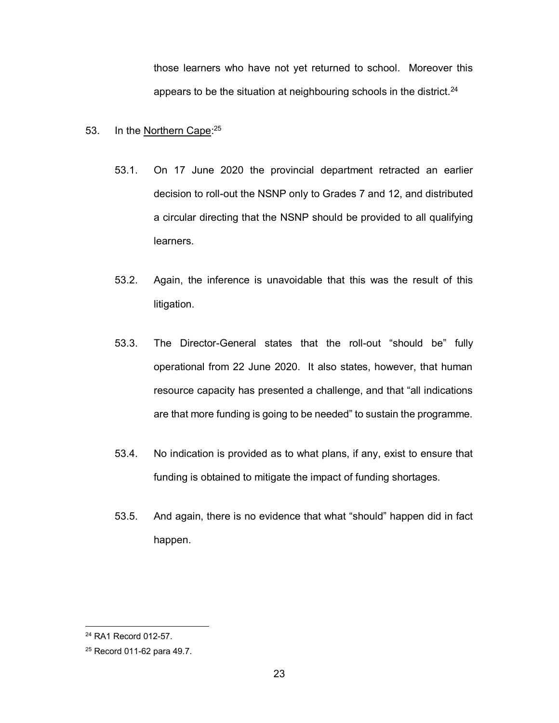those learners who have not yet returned to school. Moreover this appears to be the situation at neighbouring schools in the district.<sup>24</sup>

# 53. In the Northern Cape:<sup>25</sup>

- 53.1. On 17 June 2020 the provincial department retracted an earlier decision to roll-out the NSNP only to Grades 7 and 12, and distributed a circular directing that the NSNP should be provided to all qualifying learners.
- 53.2. Again, the inference is unavoidable that this was the result of this litigation.
- 53.3. The Director-General states that the roll-out "should be" fully operational from 22 June 2020. It also states, however, that human resource capacity has presented a challenge, and that "all indications are that more funding is going to be needed" to sustain the programme.
- 53.4. No indication is provided as to what plans, if any, exist to ensure that funding is obtained to mitigate the impact of funding shortages.
- 53.5. And again, there is no evidence that what "should" happen did in fact happen.

<sup>24</sup> RA1 Record 012-57.

<sup>25</sup> Record 011-62 para 49.7.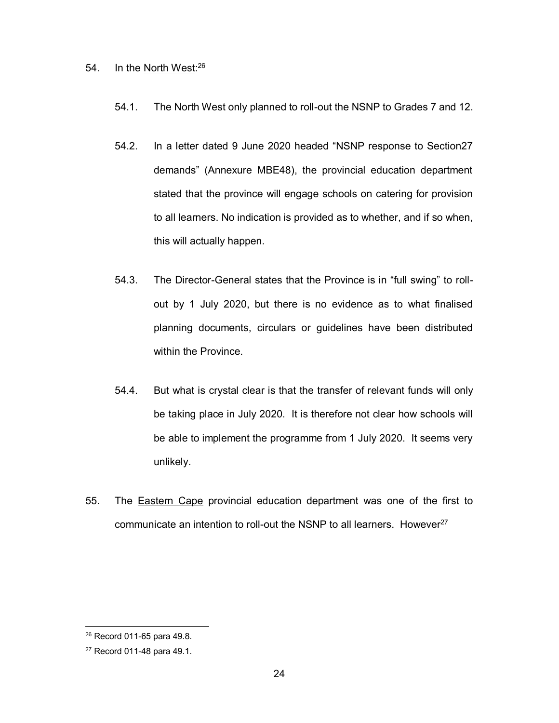# 54. In the North West:<sup>26</sup>

- 54.1. The North West only planned to roll-out the NSNP to Grades 7 and 12.
- 54.2. In a letter dated 9 June 2020 headed "NSNP response to Section27 demands" (Annexure MBE48), the provincial education department stated that the province will engage schools on catering for provision to all learners. No indication is provided as to whether, and if so when, this will actually happen.
- 54.3. The Director-General states that the Province is in "full swing" to rollout by 1 July 2020, but there is no evidence as to what finalised planning documents, circulars or guidelines have been distributed within the Province.
- 54.4. But what is crystal clear is that the transfer of relevant funds will only be taking place in July 2020. It is therefore not clear how schools will be able to implement the programme from 1 July 2020. It seems very unlikely.
- 55. The **Eastern Cape** provincial education department was one of the first to communicate an intention to roll-out the NSNP to all learners. However<sup>27</sup>

<sup>26</sup> Record 011-65 para 49.8.

<sup>27</sup> Record 011-48 para 49.1.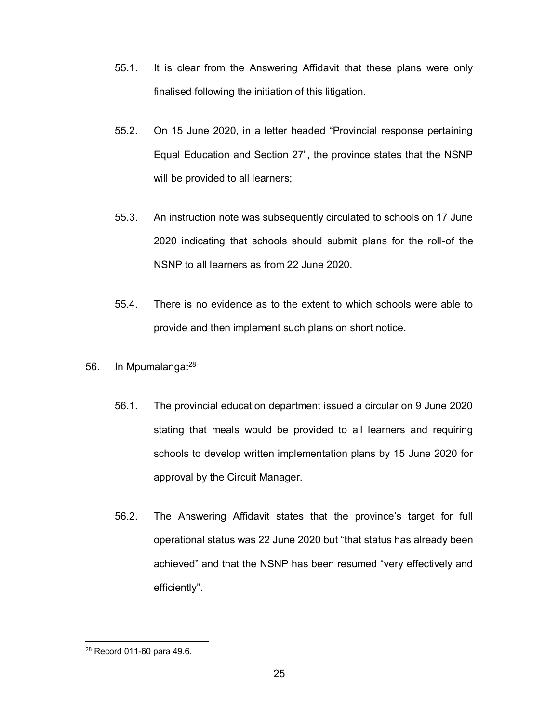- 55.1. It is clear from the Answering Affidavit that these plans were only finalised following the initiation of this litigation.
- 55.2. On 15 June 2020, in a letter headed "Provincial response pertaining Equal Education and Section 27", the province states that the NSNP will be provided to all learners;
- 55.3. An instruction note was subsequently circulated to schools on 17 June 2020 indicating that schools should submit plans for the roll-of the NSNP to all learners as from 22 June 2020.
- 55.4. There is no evidence as to the extent to which schools were able to provide and then implement such plans on short notice.
- 56. In Mpumalanga:<sup>28</sup>
	- 56.1. The provincial education department issued a circular on 9 June 2020 stating that meals would be provided to all learners and requiring schools to develop written implementation plans by 15 June 2020 for approval by the Circuit Manager.
	- 56.2. The Answering Affidavit states that the province's target for full operational status was 22 June 2020 but "that status has already been achieved" and that the NSNP has been resumed "very effectively and efficiently".

<sup>28</sup> Record 011-60 para 49.6.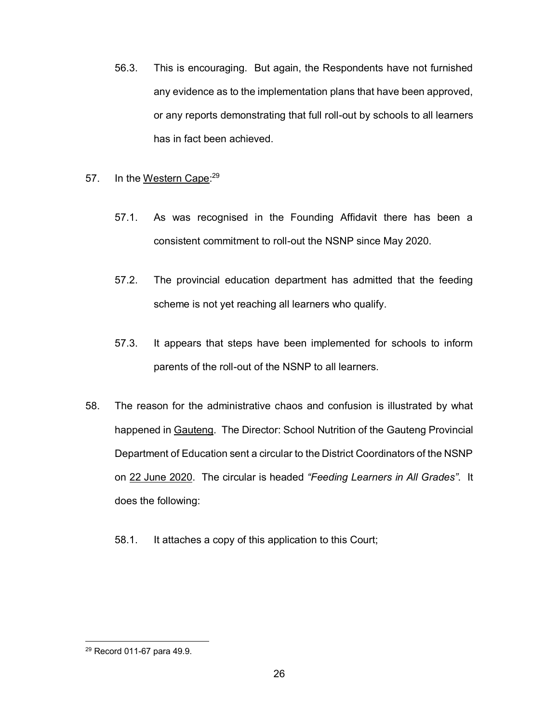- 56.3. This is encouraging. But again, the Respondents have not furnished any evidence as to the implementation plans that have been approved, or any reports demonstrating that full roll-out by schools to all learners has in fact been achieved.
- 57. In the Western Cape:<sup>29</sup>
	- 57.1. As was recognised in the Founding Affidavit there has been a consistent commitment to roll-out the NSNP since May 2020.
	- 57.2. The provincial education department has admitted that the feeding scheme is not yet reaching all learners who qualify.
	- 57.3. It appears that steps have been implemented for schools to inform parents of the roll-out of the NSNP to all learners.
- 58. The reason for the administrative chaos and confusion is illustrated by what happened in Gauteng. The Director: School Nutrition of the Gauteng Provincial Department of Education sent a circular to the District Coordinators of the NSNP on 22 June 2020. The circular is headed *"Feeding Learners in All Grades"*. It does the following:
	- 58.1. It attaches a copy of this application to this Court;

<sup>29</sup> Record 011-67 para 49.9.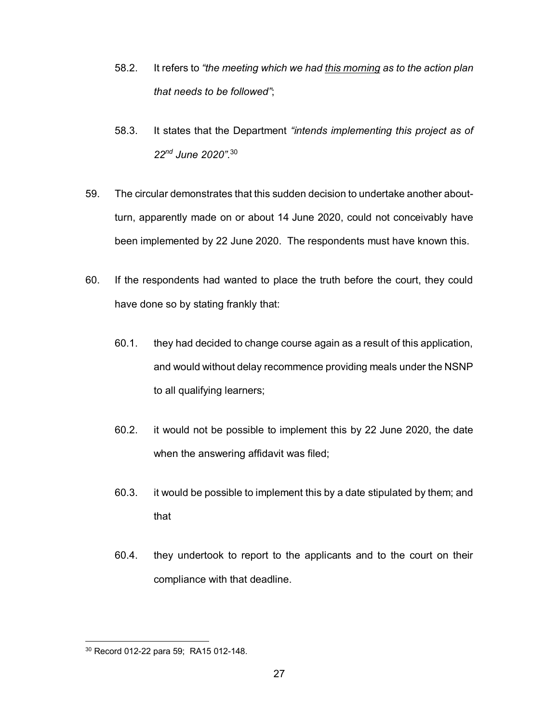- 58.2. It refers to *"the meeting which we had this morning as to the action plan that needs to be followed"*;
- 58.3. It states that the Department *"intends implementing this project as of 22nd June 2020"*. 30
- 59. The circular demonstrates that this sudden decision to undertake another aboutturn, apparently made on or about 14 June 2020, could not conceivably have been implemented by 22 June 2020. The respondents must have known this.
- 60. If the respondents had wanted to place the truth before the court, they could have done so by stating frankly that:
	- 60.1. they had decided to change course again as a result of this application, and would without delay recommence providing meals under the NSNP to all qualifying learners;
	- 60.2. it would not be possible to implement this by 22 June 2020, the date when the answering affidavit was filed;
	- 60.3. it would be possible to implement this by a date stipulated by them; and that
	- 60.4. they undertook to report to the applicants and to the court on their compliance with that deadline.

<sup>30</sup> Record 012-22 para 59; RA15 012-148.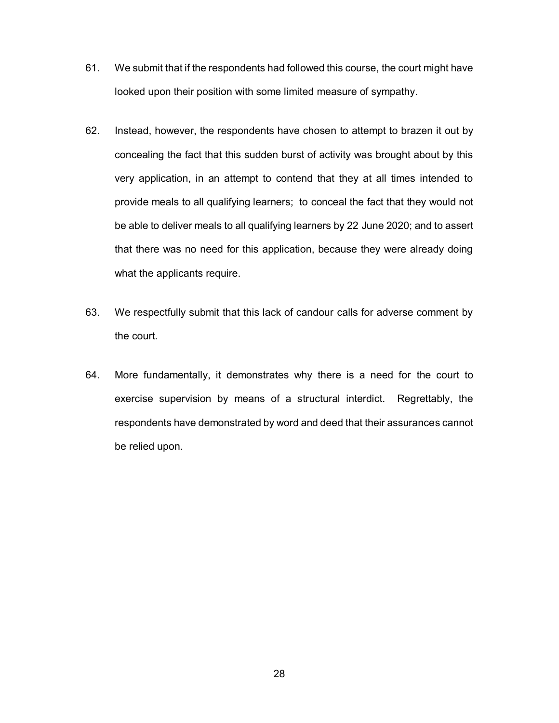- 61. We submit that if the respondents had followed this course, the court might have looked upon their position with some limited measure of sympathy.
- 62. Instead, however, the respondents have chosen to attempt to brazen it out by concealing the fact that this sudden burst of activity was brought about by this very application, in an attempt to contend that they at all times intended to provide meals to all qualifying learners; to conceal the fact that they would not be able to deliver meals to all qualifying learners by 22 June 2020; and to assert that there was no need for this application, because they were already doing what the applicants require.
- 63. We respectfully submit that this lack of candour calls for adverse comment by the court.
- 64. More fundamentally, it demonstrates why there is a need for the court to exercise supervision by means of a structural interdict. Regrettably, the respondents have demonstrated by word and deed that their assurances cannot be relied upon.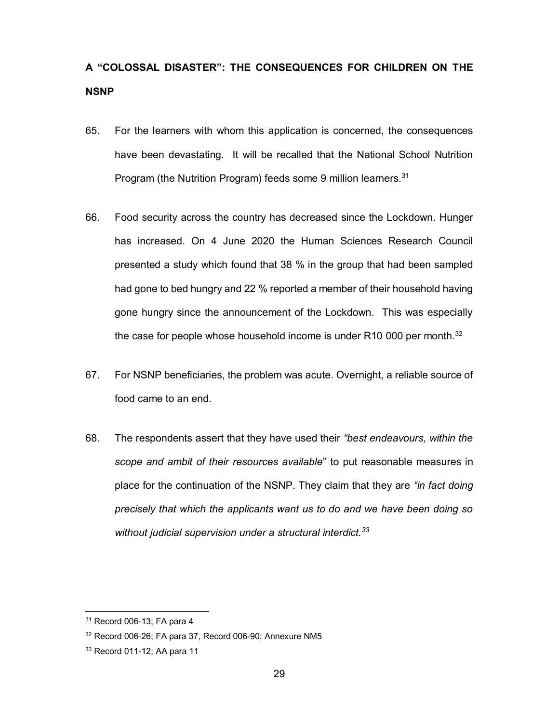# **A "COLOSSAL DISASTER": THE CONSEQUENCES FOR CHILDREN ON THE NSNP**

- 65. For the learners with whom this application is concerned, the consequences have been devastating. It will be recalled that the National School Nutrition Program (the Nutrition Program) feeds some 9 million learners.<sup>31</sup>
- 66. Food security across the country has decreased since the Lockdown. Hunger has increased. On 4 June 2020 the Human Sciences Research Council presented a study which found that 38 % in the group that had been sampled had gone to bed hungry and 22 % reported a member of their household having gone hungry since the announcement of the Lockdown. This was especially the case for people whose household income is under R10 000 per month.<sup>32</sup>
- 67. For NSNP beneficiaries, the problem was acute. Overnight, a reliable source of food came to an end.
- 68. The respondents assert that they have used their *"best endeavours, within the scope and ambit of their resources available*" to put reasonable measures in place for the continuation of the NSNP. They claim that they are *"in fact doing precisely that which the applicants want us to do and we have been doing so without judicial supervision under a structural interdict.<sup>33</sup>*

<sup>31</sup> Record 006-13; FA para 4

<sup>32</sup> Record 006-26; FA para 37, Record 006-90; Annexure NM5

<sup>33</sup> Record 011-12; AA para 11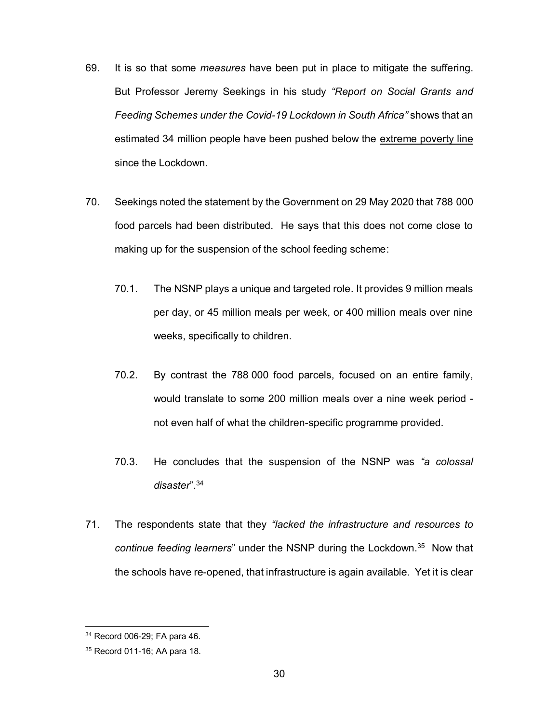- 69. It is so that some *measures* have been put in place to mitigate the suffering. But Professor Jeremy Seekings in his study *"Report on Social Grants and Feeding Schemes under the Covid-19 Lockdown in South Africa"* shows that an estimated 34 million people have been pushed below the extreme poverty line since the Lockdown.
- 70. Seekings noted the statement by the Government on 29 May 2020 that 788 000 food parcels had been distributed. He says that this does not come close to making up for the suspension of the school feeding scheme:
	- 70.1. The NSNP plays a unique and targeted role. It provides 9 million meals per day, or 45 million meals per week, or 400 million meals over nine weeks, specifically to children.
	- 70.2. By contrast the 788 000 food parcels, focused on an entire family, would translate to some 200 million meals over a nine week period not even half of what the children-specific programme provided.
	- 70.3. He concludes that the suspension of the NSNP was *"a colossal disaster*".<sup>34</sup>
- 71. The respondents state that they *"lacked the infrastructure and resources to continue feeding learners*" under the NSNP during the Lockdown. 35 Now that the schools have re-opened, that infrastructure is again available. Yet it is clear

<sup>34</sup> Record 006-29; FA para 46.

<sup>35</sup> Record 011-16; AA para 18.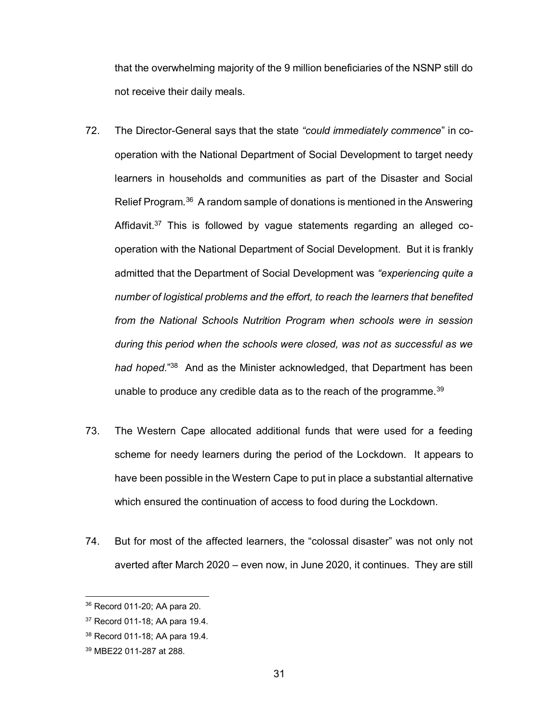that the overwhelming majority of the 9 million beneficiaries of the NSNP still do not receive their daily meals.

- 72. The Director-General says that the state *"could immediately commence*" in cooperation with the National Department of Social Development to target needy learners in households and communities as part of the Disaster and Social Relief Program.36 A random sample of donations is mentioned in the Answering Affidavit.<sup>37</sup> This is followed by vague statements regarding an alleged cooperation with the National Department of Social Development. But it is frankly admitted that the Department of Social Development was *"experiencing quite a number of logistical problems and the effort, to reach the learners that benefited from the National Schools Nutrition Program when schools were in session during this period when the schools were closed, was not as successful as we*  had hoped."<sup>38</sup> And as the Minister acknowledged, that Department has been unable to produce any credible data as to the reach of the programme.<sup>39</sup>
- 73. The Western Cape allocated additional funds that were used for a feeding scheme for needy learners during the period of the Lockdown. It appears to have been possible in the Western Cape to put in place a substantial alternative which ensured the continuation of access to food during the Lockdown.
- 74. But for most of the affected learners, the "colossal disaster" was not only not averted after March 2020 – even now, in June 2020, it continues. They are still

<sup>36</sup> Record 011-20; AA para 20.

<sup>37</sup> Record 011-18; AA para 19.4.

<sup>38</sup> Record 011-18; AA para 19.4.

<sup>39</sup> MBE22 011-287 at 288.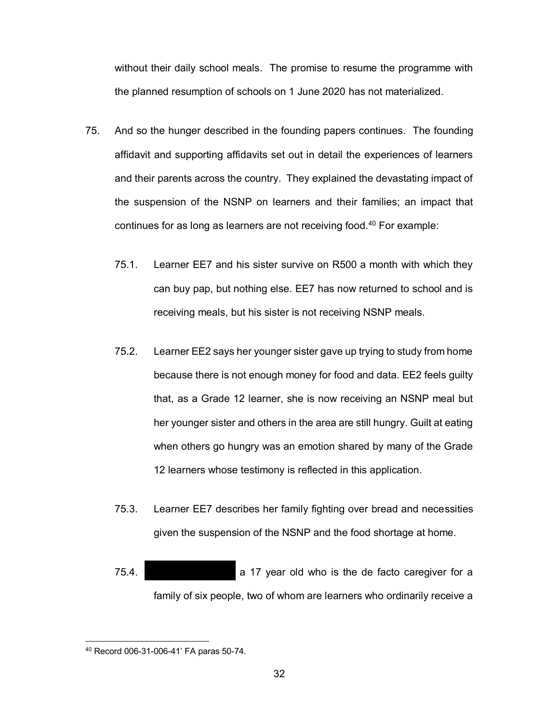without their daily school meals. The promise to resume the programme with the planned resumption of schools on 1 June 2020 has not materialized.

- 75. And so the hunger described in the founding papers continues. The founding affidavit and supporting affidavits set out in detail the experiences of learners and their parents across the country. They explained the devastating impact of the suspension of the NSNP on learners and their families; an impact that continues for as long as learners are not receiving food.<sup>40</sup> For example:
	- 75.1. Learner EE7 and his sister survive on R500 a month with which they can buy pap, but nothing else. EE7 has now returned to school and is receiving meals, but his sister is not receiving NSNP meals.
	- 75.2. Learner EE2 says her younger sister gave up trying to study from home because there is not enough money for food and data. EE2 feels guilty that, as a Grade 12 learner, she is now receiving an NSNP meal but her younger sister and others in the area are still hungry. Guilt at eating when others go hungry was an emotion shared by many of the Grade 12 learners whose testimony is reflected in this application.
	- 75.3. Learner EE7 describes her family fighting over bread and necessities given the suspension of the NSNP and the food shortage at home.
	- 75.4. The Thomalo a 17 year old who is the de facto caregiver for a family of six people, two of whom are learners who ordinarily receive a

<sup>40</sup> Record 006-31-006-41' FA paras 50-74.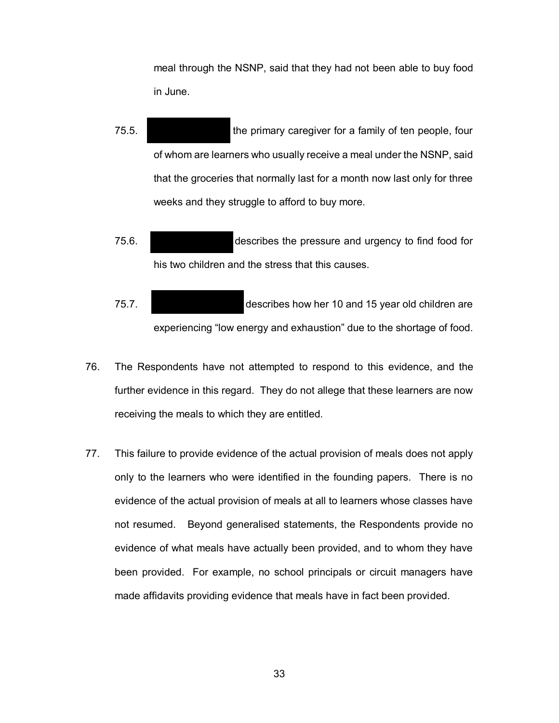meal through the NSNP, said that they had not been able to buy food in June.

- 75.5. Notice the primary caregiver for a family of ten people, four of whom are learners who usually receive a meal under the NSNP, said that the groceries that normally last for a month now last only for three weeks and they struggle to afford to buy more.
- 75.6. Patrick Motors describes the pressure and urgency to find food for his two children and the stress that this causes.
- 75.7. Vuyokazi Makapela describes how her 10 and 15 year old children are experiencing "low energy and exhaustion" due to the shortage of food.
- 76. The Respondents have not attempted to respond to this evidence, and the further evidence in this regard. They do not allege that these learners are now receiving the meals to which they are entitled.
- 77. This failure to provide evidence of the actual provision of meals does not apply only to the learners who were identified in the founding papers. There is no evidence of the actual provision of meals at all to learners whose classes have not resumed. Beyond generalised statements, the Respondents provide no evidence of what meals have actually been provided, and to whom they have been provided. For example, no school principals or circuit managers have made affidavits providing evidence that meals have in fact been provided.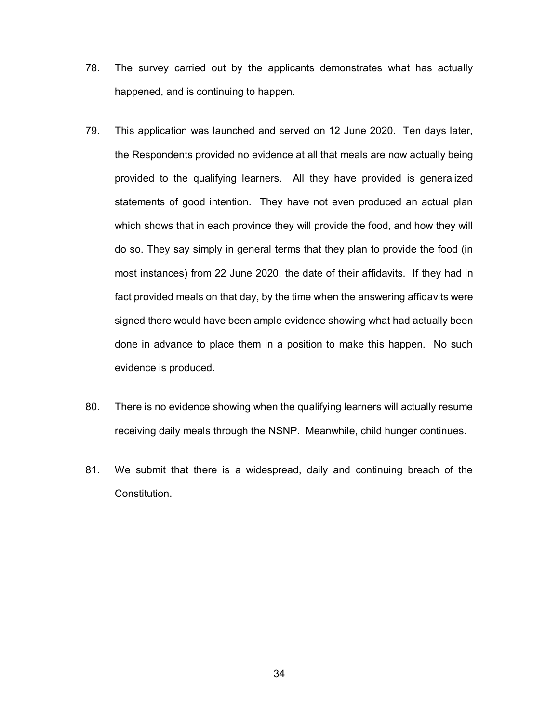- 78. The survey carried out by the applicants demonstrates what has actually happened, and is continuing to happen.
- 79. This application was launched and served on 12 June 2020. Ten days later, the Respondents provided no evidence at all that meals are now actually being provided to the qualifying learners. All they have provided is generalized statements of good intention. They have not even produced an actual plan which shows that in each province they will provide the food, and how they will do so. They say simply in general terms that they plan to provide the food (in most instances) from 22 June 2020, the date of their affidavits. If they had in fact provided meals on that day, by the time when the answering affidavits were signed there would have been ample evidence showing what had actually been done in advance to place them in a position to make this happen. No such evidence is produced.
- 80. There is no evidence showing when the qualifying learners will actually resume receiving daily meals through the NSNP. Meanwhile, child hunger continues.
- 81. We submit that there is a widespread, daily and continuing breach of the Constitution.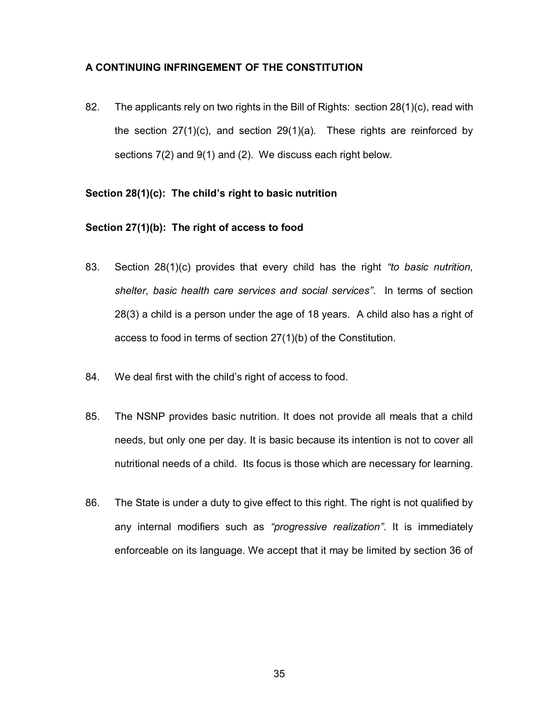# **A CONTINUING INFRINGEMENT OF THE CONSTITUTION**

82. The applicants rely on two rights in the Bill of Rights: section 28(1)(c), read with the section  $27(1)(c)$ , and section  $29(1)(a)$ . These rights are reinforced by sections 7(2) and 9(1) and (2). We discuss each right below.

#### **Section 28(1)(c): The child's right to basic nutrition**

#### **Section 27(1)(b): The right of access to food**

- 83. Section 28(1)(c) provides that every child has the right *"to basic nutrition, shelter, basic health care services and social services"*. In terms of section 28(3) a child is a person under the age of 18 years. A child also has a right of access to food in terms of section 27(1)(b) of the Constitution.
- 84. We deal first with the child's right of access to food.
- 85. The NSNP provides basic nutrition. It does not provide all meals that a child needs, but only one per day. It is basic because its intention is not to cover all nutritional needs of a child. Its focus is those which are necessary for learning.
- 86. The State is under a duty to give effect to this right. The right is not qualified by any internal modifiers such as *"progressive realization"*. It is immediately enforceable on its language. We accept that it may be limited by section 36 of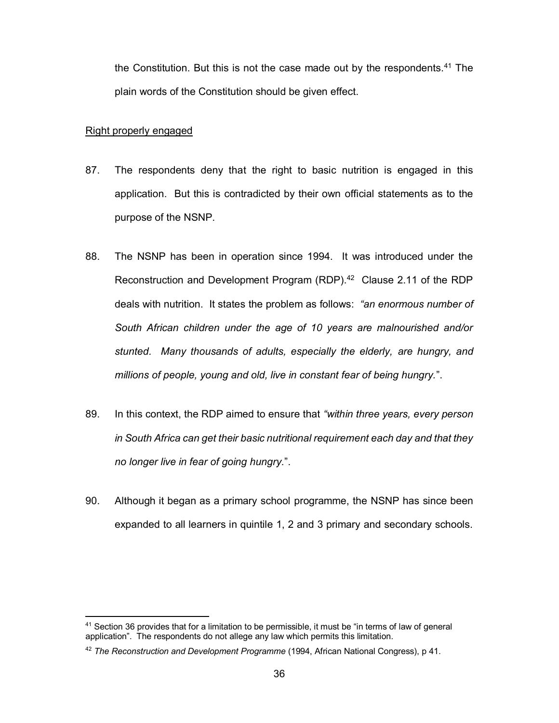the Constitution. But this is not the case made out by the respondents.<sup>41</sup> The plain words of the Constitution should be given effect.

#### Right properly engaged

- 87. The respondents deny that the right to basic nutrition is engaged in this application. But this is contradicted by their own official statements as to the purpose of the NSNP.
- 88. The NSNP has been in operation since 1994. It was introduced under the Reconstruction and Development Program (RDP).<sup>42</sup> Clause 2.11 of the RDP deals with nutrition. It states the problem as follows: *"an enormous number of South African children under the age of 10 years are malnourished and/or stunted. Many thousands of adults, especially the elderly, are hungry, and millions of people, young and old, live in constant fear of being hungry.*".
- 89. In this context, the RDP aimed to ensure that *"within three years, every person in South Africa can get their basic nutritional requirement each day and that they no longer live in fear of going hungry.*".
- 90. Although it began as a primary school programme, the NSNP has since been expanded to all learners in quintile 1, 2 and 3 primary and secondary schools.

<sup>1</sup> <sup>41</sup> Section 36 provides that for a limitation to be permissible, it must be "in terms of law of general application". The respondents do not allege any law which permits this limitation.

<sup>42</sup> *The Reconstruction and Development Programme* (1994, African National Congress), p 41.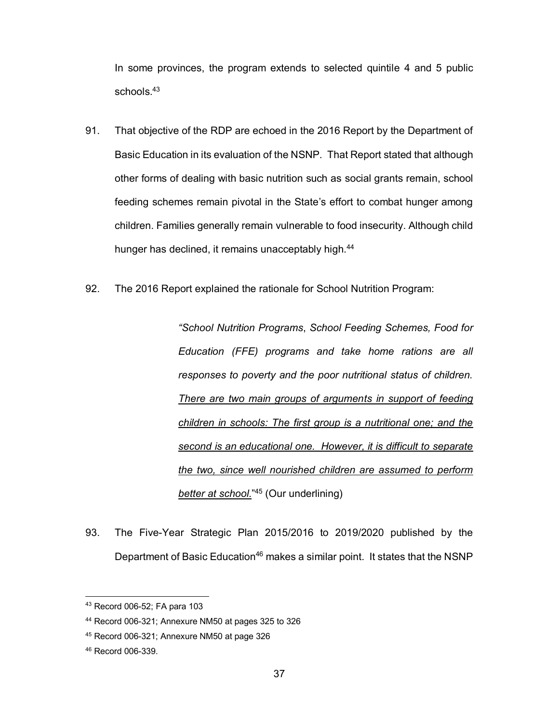In some provinces, the program extends to selected quintile 4 and 5 public schools.<sup>43</sup>

- 91. That objective of the RDP are echoed in the 2016 Report by the Department of Basic Education in its evaluation of the NSNP. That Report stated that although other forms of dealing with basic nutrition such as social grants remain, school feeding schemes remain pivotal in the State's effort to combat hunger among children. Families generally remain vulnerable to food insecurity. Although child hunger has declined, it remains unacceptably high.<sup>44</sup>
- 92. The 2016 Report explained the rationale for School Nutrition Program:

*"School Nutrition Programs*, *School Feeding Schemes, Food for Education (FFE) programs and take home rations are all responses to poverty and the poor nutritional status of children. There are two main groups of arguments in support of feeding children in schools: The first group is a nutritional one; and the second is an educational one. However, it is difficult to separate the two, since well nourished children are assumed to perform better at school.*" <sup>45</sup> (Our underlining)

93. The Five-Year Strategic Plan 2015/2016 to 2019/2020 published by the Department of Basic Education<sup>46</sup> makes a similar point. It states that the NSNP

<sup>43</sup> Record 006-52; FA para 103

<sup>44</sup> Record 006-321; Annexure NM50 at pages 325 to 326

<sup>45</sup> Record 006-321; Annexure NM50 at page 326

<sup>46</sup> Record 006-339.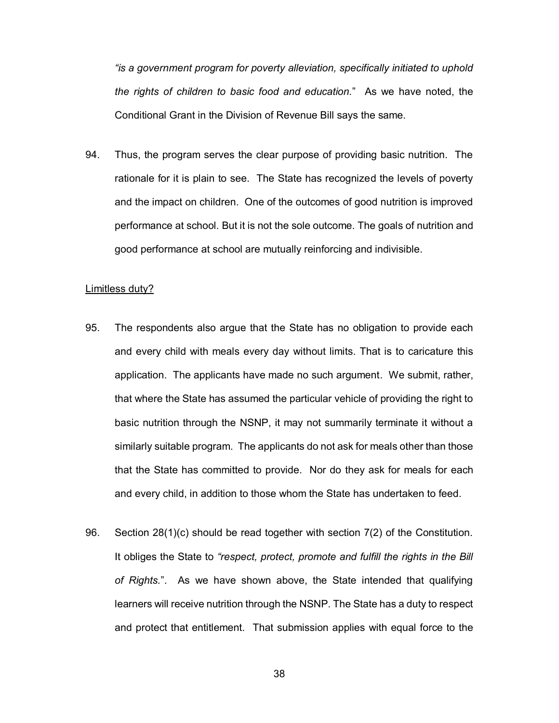*"is a government program for poverty alleviation, specifically initiated to uphold the rights of children to basic food and education.*" As we have noted, the Conditional Grant in the Division of Revenue Bill says the same.

94. Thus, the program serves the clear purpose of providing basic nutrition. The rationale for it is plain to see. The State has recognized the levels of poverty and the impact on children. One of the outcomes of good nutrition is improved performance at school. But it is not the sole outcome. The goals of nutrition and good performance at school are mutually reinforcing and indivisible.

#### Limitless duty?

- 95. The respondents also argue that the State has no obligation to provide each and every child with meals every day without limits. That is to caricature this application. The applicants have made no such argument. We submit, rather, that where the State has assumed the particular vehicle of providing the right to basic nutrition through the NSNP, it may not summarily terminate it without a similarly suitable program. The applicants do not ask for meals other than those that the State has committed to provide. Nor do they ask for meals for each and every child, in addition to those whom the State has undertaken to feed.
- 96. Section 28(1)(c) should be read together with section 7(2) of the Constitution. It obliges the State to *"respect, protect, promote and fulfill the rights in the Bill of Rights.*". As we have shown above, the State intended that qualifying learners will receive nutrition through the NSNP. The State has a duty to respect and protect that entitlement. That submission applies with equal force to the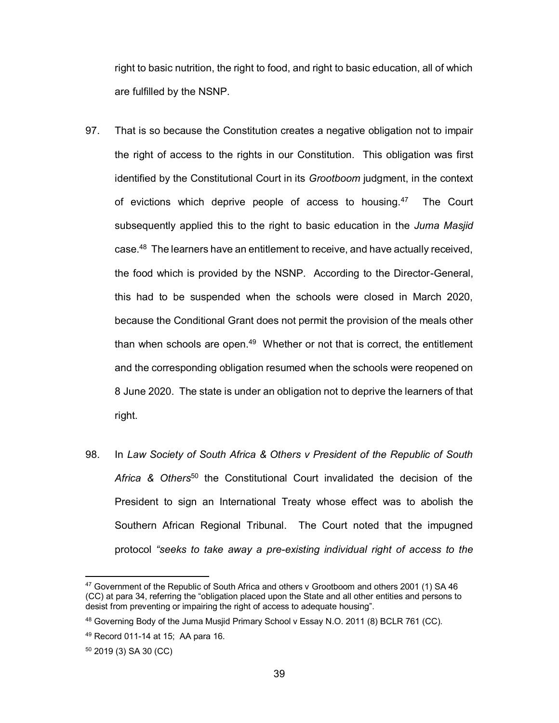right to basic nutrition, the right to food, and right to basic education, all of which are fulfilled by the NSNP.

- 97. That is so because the Constitution creates a negative obligation not to impair the right of access to the rights in our Constitution. This obligation was first identified by the Constitutional Court in its *Grootboom* judgment, in the context of evictions which deprive people of access to housing.<sup>47</sup> The Court subsequently applied this to the right to basic education in the *Juma Masjid* case.48 The learners have an entitlement to receive, and have actually received, the food which is provided by the NSNP. According to the Director-General, this had to be suspended when the schools were closed in March 2020, because the Conditional Grant does not permit the provision of the meals other than when schools are open.<sup>49</sup> Whether or not that is correct, the entitlement and the corresponding obligation resumed when the schools were reopened on 8 June 2020. The state is under an obligation not to deprive the learners of that right.
- 98. In *Law Society of South Africa & Others v President of the Republic of South Africa & Others*<sup>50</sup> the Constitutional Court invalidated the decision of the President to sign an International Treaty whose effect was to abolish the Southern African Regional Tribunal. The Court noted that the impugned protocol *"seeks to take away a pre-existing individual right of access to the*

<sup>&</sup>lt;sup>47</sup> Government of the Republic of South Africa and others v Grootboom and others 2001 (1) SA 46 (CC) at para 34, referring the "obligation placed upon the State and all other entities and persons to desist from preventing or impairing the right of access to adequate housing".

<sup>48</sup> Governing Body of the Juma Musjid Primary School v Essay N.O. 2011 (8) BCLR 761 (CC).

<sup>49</sup> Record 011-14 at 15; AA para 16.

<sup>50</sup> 2019 (3) SA 30 (CC)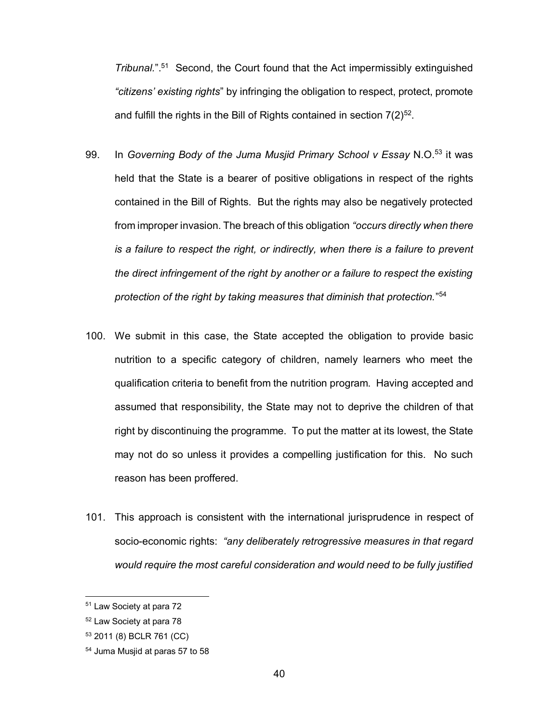*Tribunal.*".51 Second, the Court found that the Act impermissibly extinguished *"citizens' existing rights*" by infringing the obligation to respect, protect, promote and fulfill the rights in the Bill of Rights contained in section  $7(2)^{52}$ .

- 99. In *Governing Body of the Juma Musjid Primary School v Essay* N.O.53 it was held that the State is a bearer of positive obligations in respect of the rights contained in the Bill of Rights. But the rights may also be negatively protected from improper invasion. The breach of this obligation *"occurs directly when there is a failure to respect the right, or indirectly, when there is a failure to prevent the direct infringement of the right by another or a failure to respect the existing protection of the right by taking measures that diminish that protection.*" 54
- 100. We submit in this case, the State accepted the obligation to provide basic nutrition to a specific category of children, namely learners who meet the qualification criteria to benefit from the nutrition program. Having accepted and assumed that responsibility, the State may not to deprive the children of that right by discontinuing the programme. To put the matter at its lowest, the State may not do so unless it provides a compelling justification for this. No such reason has been proffered.
- 101. This approach is consistent with the international jurisprudence in respect of socio-economic rights: *"any deliberately retrogressive measures in that regard would require the most careful consideration and would need to be fully justified*

<sup>51</sup> Law Society at para 72

<sup>52</sup> Law Society at para 78

<sup>53</sup> 2011 (8) BCLR 761 (CC)

<sup>54</sup> Juma Musjid at paras 57 to 58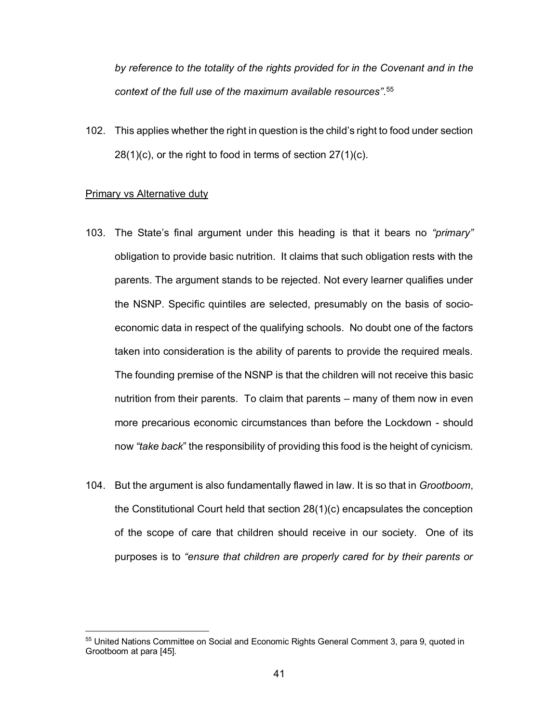*by reference to the totality of the rights provided for in the Covenant and in the context of the full use of the maximum available resources"*. 55

102. This applies whether the right in question is the child's right to food under section 28(1)(c), or the right to food in terms of section 27(1)(c).

#### Primary vs Alternative duty

- 103. The State's final argument under this heading is that it bears no *"primary"* obligation to provide basic nutrition. It claims that such obligation rests with the parents. The argument stands to be rejected. Not every learner qualifies under the NSNP. Specific quintiles are selected, presumably on the basis of socioeconomic data in respect of the qualifying schools. No doubt one of the factors taken into consideration is the ability of parents to provide the required meals. The founding premise of the NSNP is that the children will not receive this basic nutrition from their parents. To claim that parents – many of them now in even more precarious economic circumstances than before the Lockdown - should now *"take back*" the responsibility of providing this food is the height of cynicism.
- 104. But the argument is also fundamentally flawed in law. It is so that in *Grootboom*, the Constitutional Court held that section 28(1)(c) encapsulates the conception of the scope of care that children should receive in our society. One of its purposes is to *"ensure that children are properly cared for by their parents or*

<sup>55</sup> United Nations Committee on Social and Economic Rights General Comment 3, para 9, quoted in Grootboom at para [45].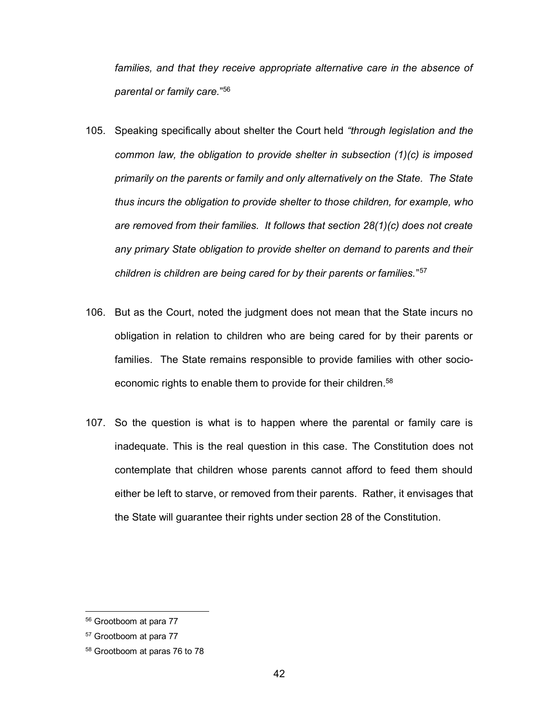*families, and that they receive appropriate alternative care in the absence of parental or family care.*" 56

- 105. Speaking specifically about shelter the Court held *"through legislation and the common law, the obligation to provide shelter in subsection (1)(c) is imposed primarily on the parents or family and only alternatively on the State. The State thus incurs the obligation to provide shelter to those children, for example, who are removed from their families. It follows that section 28(1)(c) does not create any primary State obligation to provide shelter on demand to parents and their children is children are being cared for by their parents or families.*"57
- 106. But as the Court, noted the judgment does not mean that the State incurs no obligation in relation to children who are being cared for by their parents or families. The State remains responsible to provide families with other socioeconomic rights to enable them to provide for their children.<sup>58</sup>
- 107. So the question is what is to happen where the parental or family care is inadequate. This is the real question in this case. The Constitution does not contemplate that children whose parents cannot afford to feed them should either be left to starve, or removed from their parents. Rather, it envisages that the State will guarantee their rights under section 28 of the Constitution.

<sup>56</sup> Grootboom at para 77

<sup>57</sup> Grootboom at para 77

<sup>58</sup> Grootboom at paras 76 to 78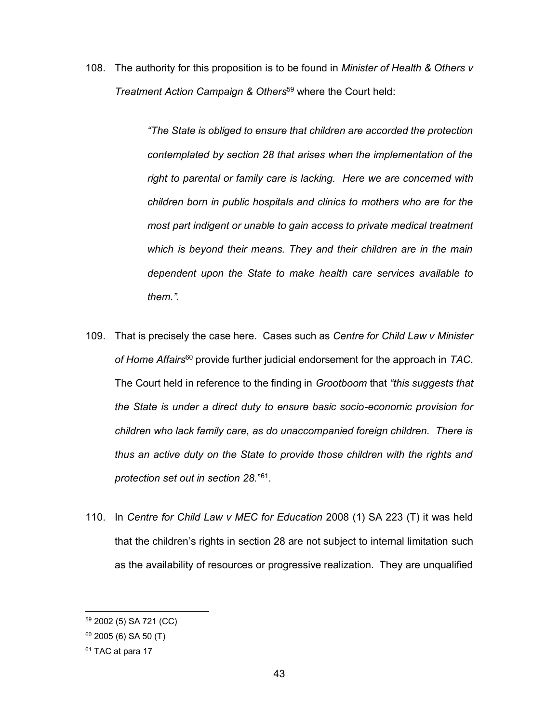108. The authority for this proposition is to be found in *Minister of Health & Others v Treatment Action Campaign & Others*<sup>59</sup> where the Court held:

> *"The State is obliged to ensure that children are accorded the protection contemplated by section 28 that arises when the implementation of the right to parental or family care is lacking. Here we are concerned with children born in public hospitals and clinics to mothers who are for the most part indigent or unable to gain access to private medical treatment which is beyond their means. They and their children are in the main dependent upon the State to make health care services available to them.".*

- 109. That is precisely the case here. Cases such as *Centre for Child Law v Minister of Home Affairs*<sup>60</sup> provide further judicial endorsement for the approach in *TAC*. The Court held in reference to the finding in *Grootboom* that *"this suggests that the State is under a direct duty to ensure basic socio-economic provision for children who lack family care, as do unaccompanied foreign children. There is thus an active duty on the State to provide those children with the rights and protection set out in section 28.*"61.
- 110. In *Centre for Child Law v MEC for Education* 2008 (1) SA 223 (T) it was held that the children's rights in section 28 are not subject to internal limitation such as the availability of resources or progressive realization. They are unqualified

<sup>59</sup> 2002 (5) SA 721 (CC)

 $60$  2005 (6) SA 50 (T)

<sup>&</sup>lt;sup>61</sup> TAC at para 17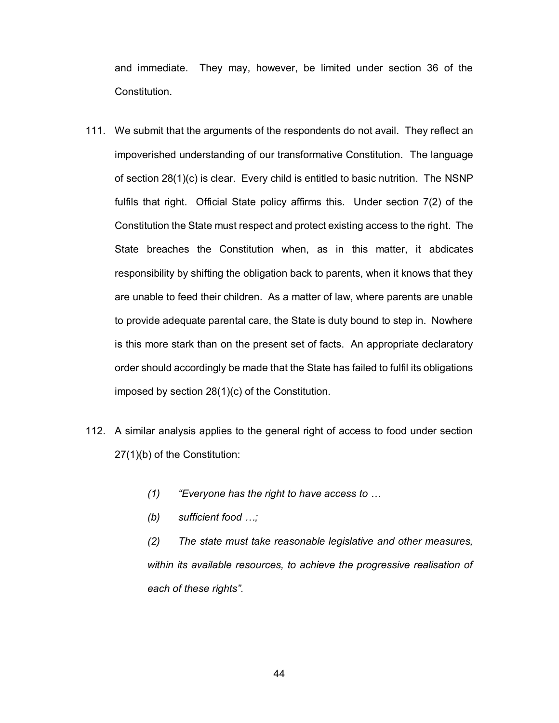and immediate. They may, however, be limited under section 36 of the Constitution.

- 111. We submit that the arguments of the respondents do not avail. They reflect an impoverished understanding of our transformative Constitution. The language of section 28(1)(c) is clear. Every child is entitled to basic nutrition. The NSNP fulfils that right. Official State policy affirms this. Under section 7(2) of the Constitution the State must respect and protect existing access to the right. The State breaches the Constitution when, as in this matter, it abdicates responsibility by shifting the obligation back to parents, when it knows that they are unable to feed their children. As a matter of law, where parents are unable to provide adequate parental care, the State is duty bound to step in. Nowhere is this more stark than on the present set of facts. An appropriate declaratory order should accordingly be made that the State has failed to fulfil its obligations imposed by section 28(1)(c) of the Constitution.
- 112. A similar analysis applies to the general right of access to food under section 27(1)(b) of the Constitution:
	- *(1) "Everyone has the right to have access to …*
	- *(b) sufficient food …;*

*(2) The state must take reasonable legislative and other measures, within its available resources, to achieve the progressive realisation of each of these rights"*.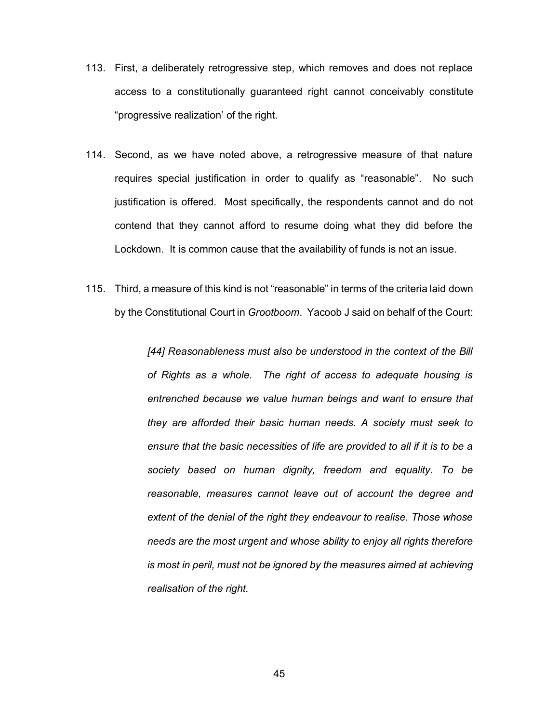- 113. First, a deliberately retrogressive step, which removes and does not replace access to a constitutionally guaranteed right cannot conceivably constitute "progressive realization' of the right.
- 114. Second, as we have noted above, a retrogressive measure of that nature requires special justification in order to qualify as "reasonable". No such justification is offered. Most specifically, the respondents cannot and do not contend that they cannot afford to resume doing what they did before the Lockdown. It is common cause that the availability of funds is not an issue.
- 115. Third, a measure of this kind is not "reasonable" in terms of the criteria laid down by the Constitutional Court in *Grootboom*. Yacoob J said on behalf of the Court:

*[44] Reasonableness must also be understood in the context of the Bill of Rights as a whole. The right of access to adequate housing is entrenched because we value human beings and want to ensure that they are afforded their basic human needs. A society must seek to ensure that the basic necessities of life are provided to all if it is to be a society based on human dignity, freedom and equality. To be reasonable, measures cannot leave out of account the degree and extent of the denial of the right they endeavour to realise. Those whose needs are the most urgent and whose ability to enjoy all rights therefore is most in peril, must not be ignored by the measures aimed at achieving realisation of the right.*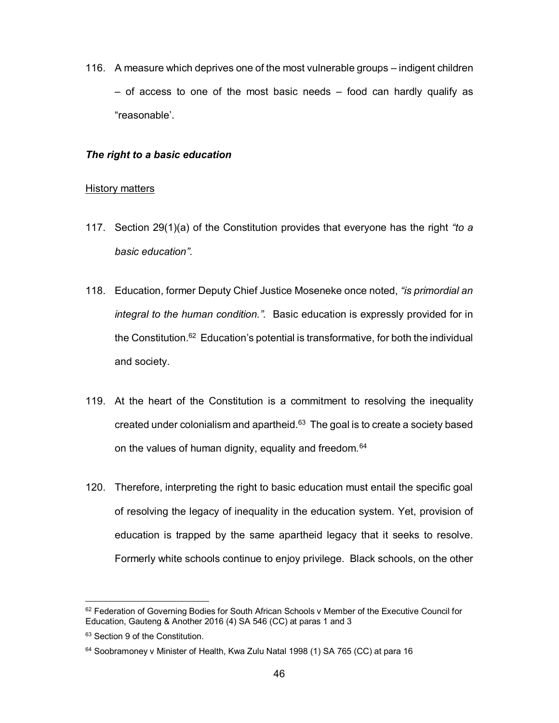116. A measure which deprives one of the most vulnerable groups – indigent children  $-$  of access to one of the most basic needs  $-$  food can hardly qualify as "reasonable'.

#### *The right to a basic education*

## History matters

- 117. Section 29(1)(a) of the Constitution provides that everyone has the right *"to a basic education"*.
- 118. Education, former Deputy Chief Justice Moseneke once noted, *"is primordial an integral to the human condition.".* Basic education is expressly provided for in the Constitution.62 Education's potential is transformative, for both the individual and society.
- 119. At the heart of the Constitution is a commitment to resolving the inequality created under colonialism and apartheid.63 The goal is to create a society based on the values of human dignity, equality and freedom.<sup>64</sup>
- 120. Therefore, interpreting the right to basic education must entail the specific goal of resolving the legacy of inequality in the education system. Yet, provision of education is trapped by the same apartheid legacy that it seeks to resolve. Formerly white schools continue to enjoy privilege. Black schools, on the other

<sup>&</sup>lt;sup>62</sup> Federation of Governing Bodies for South African Schools v Member of the Executive Council for Education, Gauteng & Another 2016 (4) SA 546 (CC) at paras 1 and 3

<sup>&</sup>lt;sup>63</sup> Section 9 of the Constitution.

<sup>&</sup>lt;sup>64</sup> Soobramoney v Minister of Health, Kwa Zulu Natal 1998 (1) SA 765 (CC) at para 16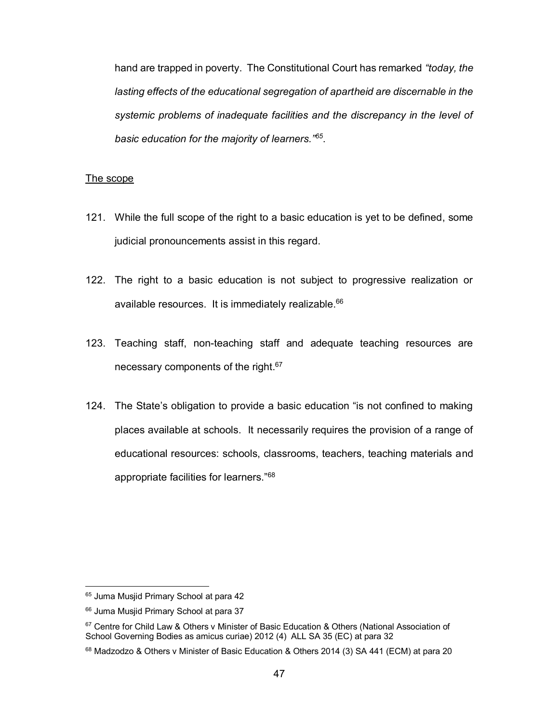hand are trapped in poverty. The Constitutional Court has remarked *"today, the lasting effects of the educational segregation of apartheid are discernable in the systemic problems of inadequate facilities and the discrepancy in the level of basic education for the majority of learners."<sup>65</sup>*.

#### The scope

- 121. While the full scope of the right to a basic education is yet to be defined, some judicial pronouncements assist in this regard.
- 122. The right to a basic education is not subject to progressive realization or available resources. It is immediately realizable.<sup>66</sup>
- 123. Teaching staff, non-teaching staff and adequate teaching resources are necessary components of the right.<sup>67</sup>
- 124. The State's obligation to provide a basic education "is not confined to making places available at schools. It necessarily requires the provision of a range of educational resources: schools, classrooms, teachers, teaching materials and appropriate facilities for learners."<sup>68</sup>

<sup>&</sup>lt;sup>65</sup> Juma Musjid Primary School at para 42

<sup>&</sup>lt;sup>66</sup> Juma Musjid Primary School at para 37

<sup>&</sup>lt;sup>67</sup> Centre for Child Law & Others v Minister of Basic Education & Others (National Association of School Governing Bodies as amicus curiae) 2012 (4) ALL SA 35 (EC) at para 32

<sup>&</sup>lt;sup>68</sup> Madzodzo & Others v Minister of Basic Education & Others 2014 (3) SA 441 (ECM) at para 20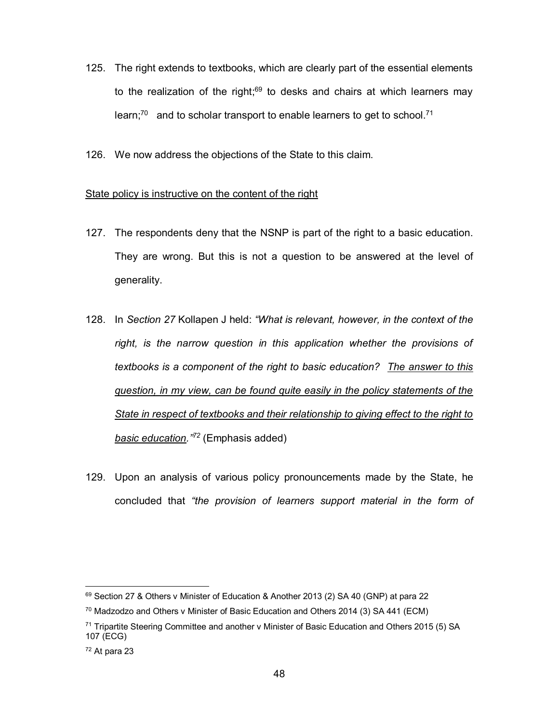- 125. The right extends to textbooks, which are clearly part of the essential elements to the realization of the right;<sup>69</sup> to desks and chairs at which learners may learn; $70$  and to scholar transport to enable learners to get to school.<sup>71</sup>
- 126. We now address the objections of the State to this claim.

## State policy is instructive on the content of the right

- 127. The respondents deny that the NSNP is part of the right to a basic education. They are wrong. But this is not a question to be answered at the level of generality.
- 128. In *Section 27* Kollapen J held: *"What is relevant, however, in the context of the right, is the narrow question in this application whether the provisions of textbooks is a component of the right to basic education? The answer to this question, in my view, can be found quite easily in the policy statements of the State in respect of textbooks and their relationship to giving effect to the right to basic education."<sup>72</sup>* (Emphasis added)
- 129. Upon an analysis of various policy pronouncements made by the State, he concluded that *"the provision of learners support material in the form of*

<sup>69</sup> Section 27 & Others v Minister of Education & Another 2013 (2) SA 40 (GNP) at para 22

 $70$  Madzodzo and Others v Minister of Basic Education and Others 2014 (3) SA 441 (ECM)

 $71$  Tripartite Steering Committee and another v Minister of Basic Education and Others 2015 (5) SA 107 (ECG)

 $72$  At para 23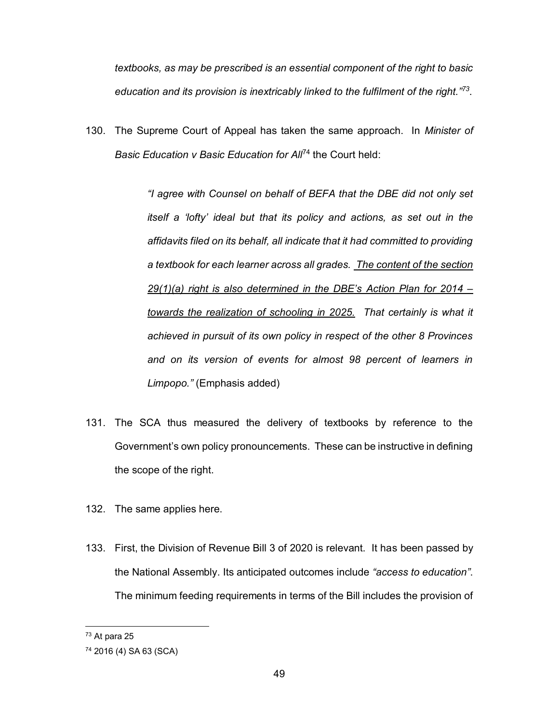*textbooks, as may be prescribed is an essential component of the right to basic education and its provision is inextricably linked to the fulfilment of the right."<sup>73</sup>*.

130. The Supreme Court of Appeal has taken the same approach. In *Minister of Basic Education v Basic Education for All*<sup>74</sup> the Court held:

> *"I agree with Counsel on behalf of BEFA that the DBE did not only set itself a 'lofty' ideal but that its policy and actions, as set out in the affidavits filed on its behalf, all indicate that it had committed to providing a textbook for each learner across all grades. The content of the section 29(1)(a) right is also determined in the DBE's Action Plan for 2014 – towards the realization of schooling in 2025. That certainly is what it achieved in pursuit of its own policy in respect of the other 8 Provinces and on its version of events for almost 98 percent of learners in Limpopo."* (Emphasis added)

- 131. The SCA thus measured the delivery of textbooks by reference to the Government's own policy pronouncements. These can be instructive in defining the scope of the right.
- 132. The same applies here.
- 133. First, the Division of Revenue Bill 3 of 2020 is relevant. It has been passed by the National Assembly. Its anticipated outcomes include *"access to education"*. The minimum feeding requirements in terms of the Bill includes the provision of

<sup>73</sup> At para 25

<sup>74</sup> 2016 (4) SA 63 (SCA)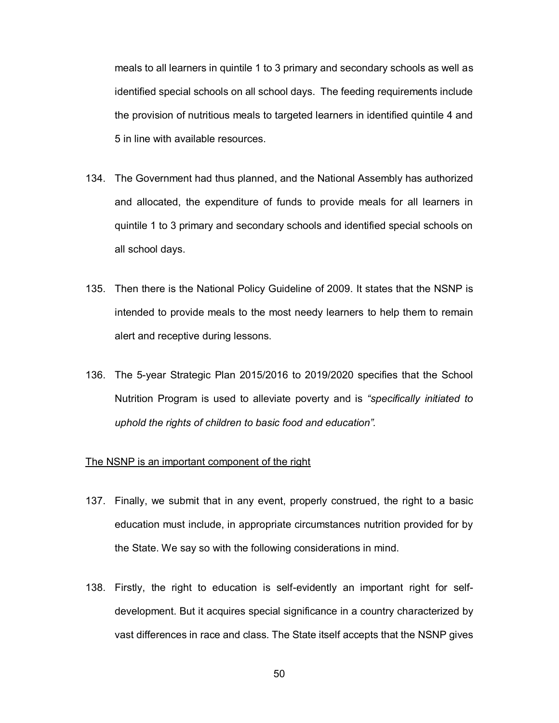meals to all learners in quintile 1 to 3 primary and secondary schools as well as identified special schools on all school days. The feeding requirements include the provision of nutritious meals to targeted learners in identified quintile 4 and 5 in line with available resources.

- 134. The Government had thus planned, and the National Assembly has authorized and allocated, the expenditure of funds to provide meals for all learners in quintile 1 to 3 primary and secondary schools and identified special schools on all school days.
- 135. Then there is the National Policy Guideline of 2009. It states that the NSNP is intended to provide meals to the most needy learners to help them to remain alert and receptive during lessons.
- 136. The 5-year Strategic Plan 2015/2016 to 2019/2020 specifies that the School Nutrition Program is used to alleviate poverty and is *"specifically initiated to uphold the rights of children to basic food and education".*

#### The NSNP is an important component of the right

- 137. Finally, we submit that in any event, properly construed, the right to a basic education must include, in appropriate circumstances nutrition provided for by the State. We say so with the following considerations in mind.
- 138. Firstly, the right to education is self-evidently an important right for selfdevelopment. But it acquires special significance in a country characterized by vast differences in race and class. The State itself accepts that the NSNP gives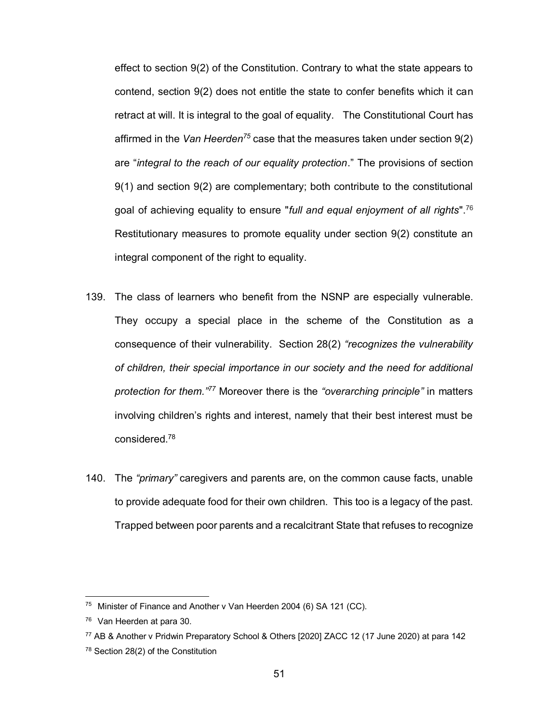effect to section 9(2) of the Constitution. Contrary to what the state appears to contend, section 9(2) does not entitle the state to confer benefits which it can retract at will. It is integral to the goal of equality. The Constitutional Court has affirmed in the *Van Heerden75* case that the measures taken under section 9(2) are "*integral to the reach of our equality protection*." The provisions of section 9(1) and section 9(2) are complementary; both contribute to the constitutional goal of achieving equality to ensure "*full and equal enjoyment of all rights*".76 Restitutionary measures to promote equality under section 9(2) constitute an integral component of the right to equality.

- 139. The class of learners who benefit from the NSNP are especially vulnerable. They occupy a special place in the scheme of the Constitution as a consequence of their vulnerability. Section 28(2) *"recognizes the vulnerability of children, their special importance in our society and the need for additional protection for them."<sup>77</sup>* Moreover there is the *"overarching principle"* in matters involving children's rights and interest, namely that their best interest must be considered. 78
- 140. The *"primary"* caregivers and parents are, on the common cause facts, unable to provide adequate food for their own children. This too is a legacy of the past. Trapped between poor parents and a recalcitrant State that refuses to recognize

<sup>75</sup> Minister of Finance and Another v Van Heerden 2004 (6) SA 121 (CC).

<sup>76</sup> Van Heerden at para 30.

<sup>77</sup> AB & Another v Pridwin Preparatory School & Others [2020] ZACC 12 (17 June 2020) at para 142 <sup>78</sup> Section 28(2) of the Constitution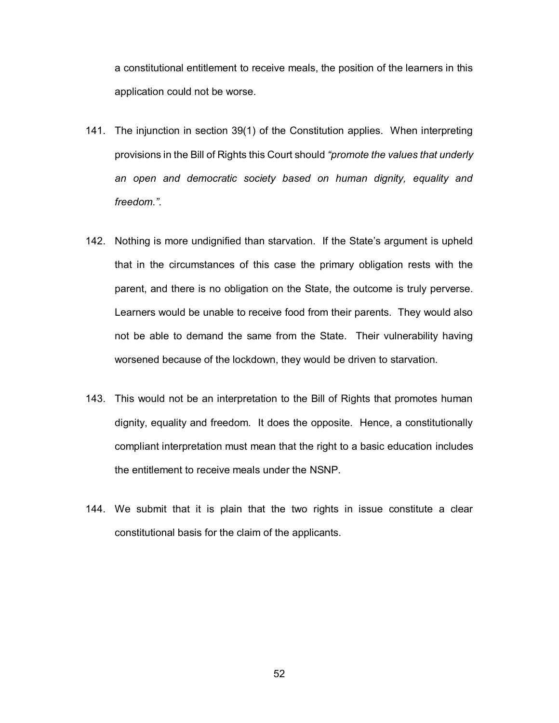a constitutional entitlement to receive meals, the position of the learners in this application could not be worse.

- 141. The injunction in section 39(1) of the Constitution applies. When interpreting provisions in the Bill of Rights this Court should *"promote the values that underly an open and democratic society based on human dignity, equality and freedom."*.
- 142. Nothing is more undignified than starvation. If the State's argument is upheld that in the circumstances of this case the primary obligation rests with the parent, and there is no obligation on the State, the outcome is truly perverse. Learners would be unable to receive food from their parents. They would also not be able to demand the same from the State. Their vulnerability having worsened because of the lockdown, they would be driven to starvation.
- 143. This would not be an interpretation to the Bill of Rights that promotes human dignity, equality and freedom. It does the opposite. Hence, a constitutionally compliant interpretation must mean that the right to a basic education includes the entitlement to receive meals under the NSNP.
- 144. We submit that it is plain that the two rights in issue constitute a clear constitutional basis for the claim of the applicants.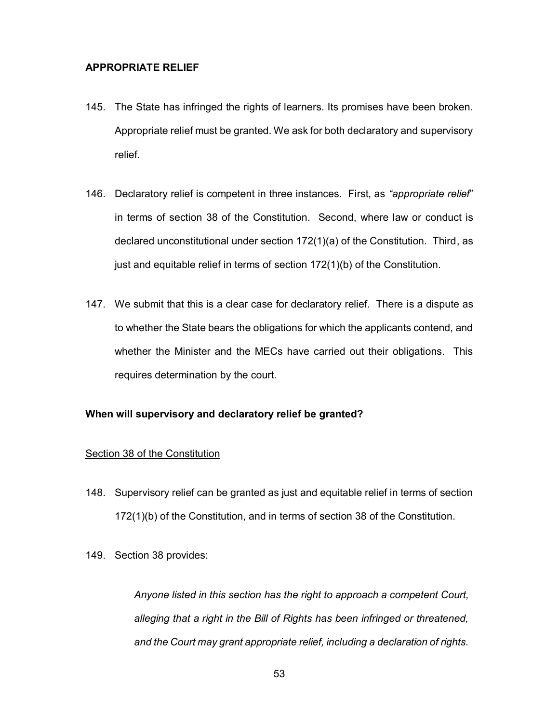# **APPROPRIATE RELIEF**

- 145. The State has infringed the rights of learners. Its promises have been broken. Appropriate relief must be granted. We ask for both declaratory and supervisory relief.
- 146. Declaratory relief is competent in three instances. First, as *"appropriate relief*" in terms of section 38 of the Constitution. Second, where law or conduct is declared unconstitutional under section 172(1)(a) of the Constitution. Third, as just and equitable relief in terms of section 172(1)(b) of the Constitution.
- 147. We submit that this is a clear case for declaratory relief. There is a dispute as to whether the State bears the obligations for which the applicants contend, and whether the Minister and the MECs have carried out their obligations. This requires determination by the court.

### **When will supervisory and declaratory relief be granted?**

#### Section 38 of the Constitution

- 148. Supervisory relief can be granted as just and equitable relief in terms of section 172(1)(b) of the Constitution, and in terms of section 38 of the Constitution.
- 149. Section 38 provides:

*Anyone listed in this section has the right to approach a competent Court, alleging that a right in the Bill of Rights has been infringed or threatened, and the Court may grant appropriate relief, including a declaration of rights.*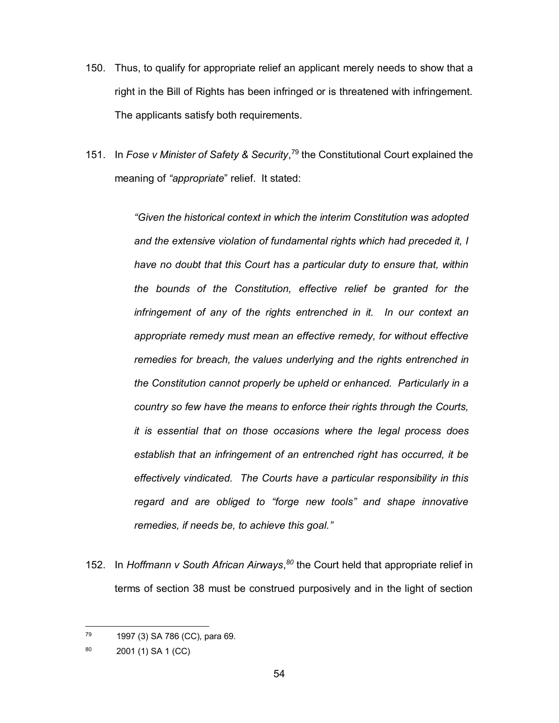- 150. Thus, to qualify for appropriate relief an applicant merely needs to show that a right in the Bill of Rights has been infringed or is threatened with infringement. The applicants satisfy both requirements.
- 151. In *Fose v Minister of Safety & Security*, <sup>79</sup> the Constitutional Court explained the meaning of *"appropriate*" relief. It stated:

*"Given the historical context in which the interim Constitution was adopted and the extensive violation of fundamental rights which had preceded it, I have no doubt that this Court has a particular duty to ensure that, within the bounds of the Constitution, effective relief be granted for the infringement of any of the rights entrenched in it. In our context an appropriate remedy must mean an effective remedy, for without effective remedies for breach, the values underlying and the rights entrenched in the Constitution cannot properly be upheld or enhanced. Particularly in a country so few have the means to enforce their rights through the Courts, it is essential that on those occasions where the legal process does establish that an infringement of an entrenched right has occurred, it be effectively vindicated. The Courts have a particular responsibility in this regard and are obliged to "forge new tools" and shape innovative remedies, if needs be, to achieve this goal."*

152. In *Hoffmann v South African Airways*, *<sup>80</sup>* the Court held that appropriate relief in terms of section 38 must be construed purposively and in the light of section

<sup>79</sup> 1997 (3) SA 786 (CC), para 69.

<sup>80</sup> 2001 (1) SA 1 (CC)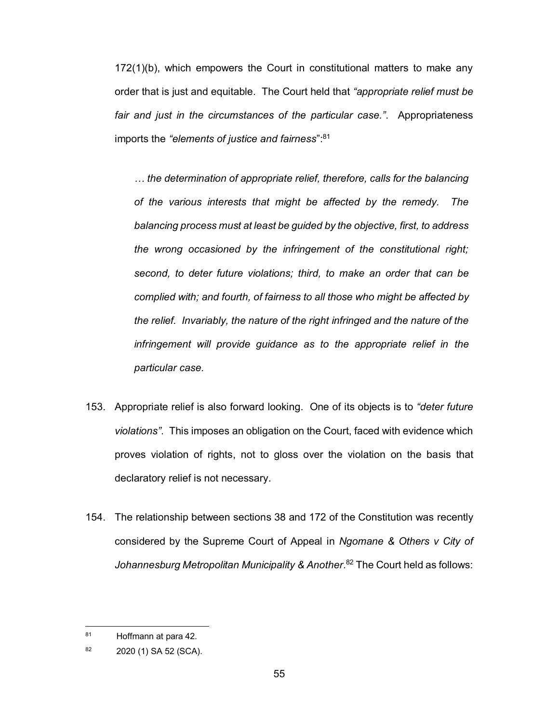172(1)(b), which empowers the Court in constitutional matters to make any order that is just and equitable. The Court held that *"appropriate relief must be fair and just in the circumstances of the particular case."*. Appropriateness imports the *"elements of justice and fairness*": 81

*… the determination of appropriate relief, therefore, calls for the balancing of the various interests that might be affected by the remedy. The balancing process must at least be guided by the objective, first, to address the wrong occasioned by the infringement of the constitutional right; second, to deter future violations; third, to make an order that can be complied with; and fourth, of fairness to all those who might be affected by the relief. Invariably, the nature of the right infringed and the nature of the infringement will provide guidance as to the appropriate relief in the particular case.*

- 153. Appropriate relief is also forward looking. One of its objects is to *"deter future violations"*. This imposes an obligation on the Court, faced with evidence which proves violation of rights, not to gloss over the violation on the basis that declaratory relief is not necessary.
- 154. The relationship between sections 38 and 172 of the Constitution was recently considered by the Supreme Court of Appeal in *Ngomane & Others v City of Johannesburg Metropolitan Municipality & Another.* <sup>82</sup> The Court held as follows:

<sup>81</sup> Hoffmann at para 42.

<sup>82 2020 (1)</sup> SA 52 (SCA).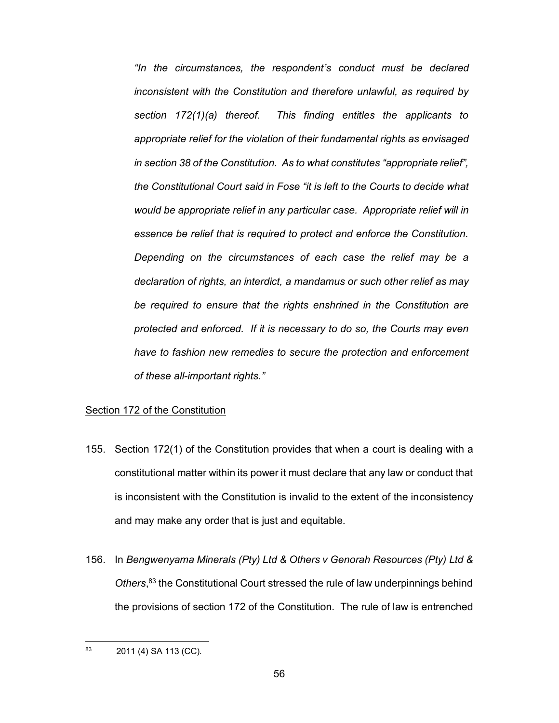*"In the circumstances, the respondent's conduct must be declared inconsistent with the Constitution and therefore unlawful, as required by section 172(1)(a) thereof. This finding entitles the applicants to appropriate relief for the violation of their fundamental rights as envisaged in section 38 of the Constitution. As to what constitutes "appropriate relief", the Constitutional Court said in Fose "it is left to the Courts to decide what would be appropriate relief in any particular case. Appropriate relief will in essence be relief that is required to protect and enforce the Constitution. Depending on the circumstances of each case the relief may be a declaration of rights, an interdict, a mandamus or such other relief as may be required to ensure that the rights enshrined in the Constitution are protected and enforced. If it is necessary to do so, the Courts may even have to fashion new remedies to secure the protection and enforcement of these all-important rights."*

#### Section 172 of the Constitution

- 155. Section 172(1) of the Constitution provides that when a court is dealing with a constitutional matter within its power it must declare that any law or conduct that is inconsistent with the Constitution is invalid to the extent of the inconsistency and may make any order that is just and equitable.
- 156. In *Bengwenyama Minerals (Pty) Ltd & Others v Genorah Resources (Pty) Ltd &*  Others,<sup>83</sup> the Constitutional Court stressed the rule of law underpinnings behind the provisions of section 172 of the Constitution. The rule of law is entrenched

<sup>83</sup> 2011 (4) SA 113 (CC).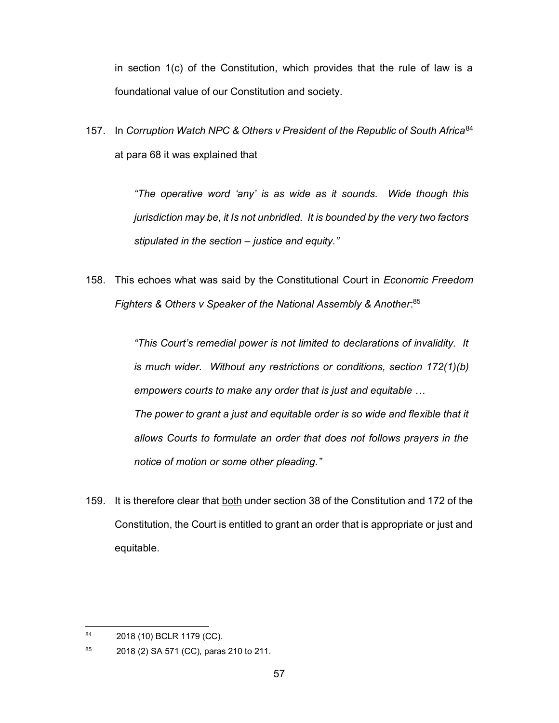in section 1(c) of the Constitution, which provides that the rule of law is a foundational value of our Constitution and society.

157. In *Corruption Watch NPC & Others v President of the Republic of South Africa*<sup>84</sup> at para 68 it was explained that

> *"The operative word 'any' is as wide as it sounds. Wide though this jurisdiction may be, it Is not unbridled. It is bounded by the very two factors stipulated in the section – justice and equity."*

158. This echoes what was said by the Constitutional Court in *Economic Freedom Fighters & Others v Speaker of the National Assembly & Another*: 85

> *"This Court's remedial power is not limited to declarations of invalidity. It is much wider. Without any restrictions or conditions, section 172(1)(b) empowers courts to make any order that is just and equitable …* The power to grant a just and equitable order is so wide and flexible that it *allows Courts to formulate an order that does not follows prayers in the notice of motion or some other pleading."*

159. It is therefore clear that **both** under section 38 of the Constitution and 172 of the Constitution, the Court is entitled to grant an order that is appropriate or just and equitable.

<sup>84</sup> 2018 (10) BCLR 1179 (CC).

<sup>85 2018 (2)</sup> SA 571 (CC), paras 210 to 211.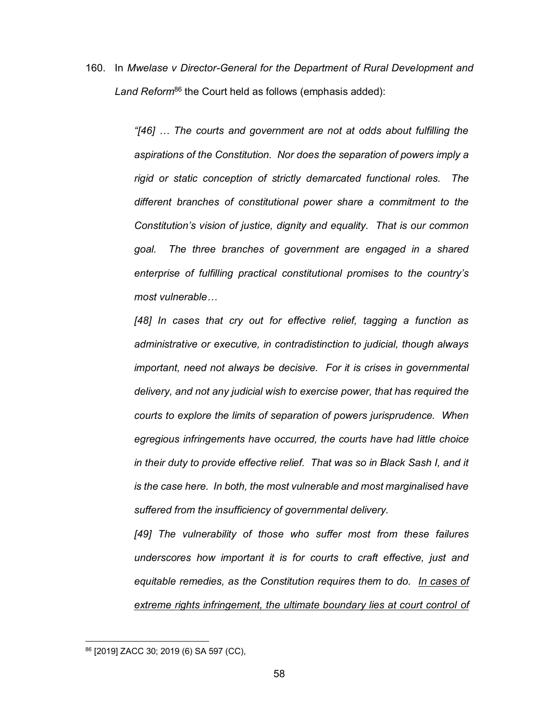160. In *Mwelase v Director-General for the Department of Rural Development and*  Land Reform<sup>86</sup> the Court held as follows (emphasis added):

> *"[46] … The courts and government are not at odds about fulfilling the aspirations of the Constitution. Nor does the separation of powers imply a rigid or static conception of strictly demarcated functional roles. The different branches of constitutional power share a commitment to the Constitution's vision of justice, dignity and equality. That is our common goal. The three branches of government are engaged in a shared enterprise of fulfilling practical constitutional promises to the country's most vulnerable…*

> *[48] In cases that cry out for effective relief, tagging a function as administrative or executive, in contradistinction to judicial, though always important, need not always be decisive. For it is crises in governmental delivery, and not any judicial wish to exercise power, that has required the courts to explore the limits of separation of powers jurisprudence. When egregious infringements have occurred, the courts have had little choice in their duty to provide effective relief. That was so in Black Sash I, and it is the case here. In both, the most vulnerable and most marginalised have suffered from the insufficiency of governmental delivery.*

> *[49] The vulnerability of those who suffer most from these failures underscores how important it is for courts to craft effective, just and equitable remedies, as the Constitution requires them to do. In cases of extreme rights infringement, the ultimate boundary lies at court control of*

<sup>86</sup> [2019] ZACC 30; 2019 (6) SA 597 (CC),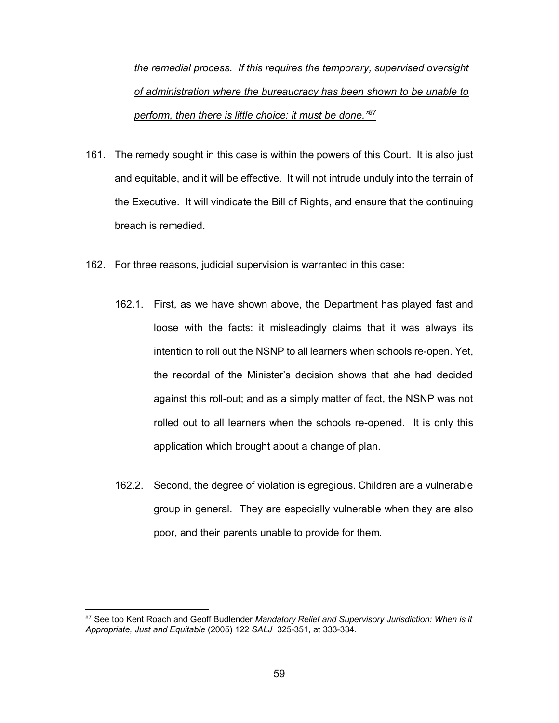*the remedial process. If this requires the temporary, supervised oversight of administration where the bureaucracy has been shown to be unable to perform, then there is little choice: it must be done." 87*

- 161. The remedy sought in this case is within the powers of this Court. It is also just and equitable, and it will be effective. It will not intrude unduly into the terrain of the Executive. It will vindicate the Bill of Rights, and ensure that the continuing breach is remedied.
- 162. For three reasons, judicial supervision is warranted in this case:
	- 162.1. First, as we have shown above, the Department has played fast and loose with the facts: it misleadingly claims that it was always its intention to roll out the NSNP to all learners when schools re-open. Yet, the recordal of the Minister's decision shows that she had decided against this roll-out; and as a simply matter of fact, the NSNP was not rolled out to all learners when the schools re-opened. It is only this application which brought about a change of plan.
	- 162.2. Second, the degree of violation is egregious. Children are a vulnerable group in general. They are especially vulnerable when they are also poor, and their parents unable to provide for them.

<sup>1</sup> <sup>87</sup> See too Kent Roach and Geoff Budlender *Mandatory Relief and Supervisory Jurisdiction: When is it Appropriate, Just and Equitable* (2005) 122 *SALJ* 325-351, at 333-334.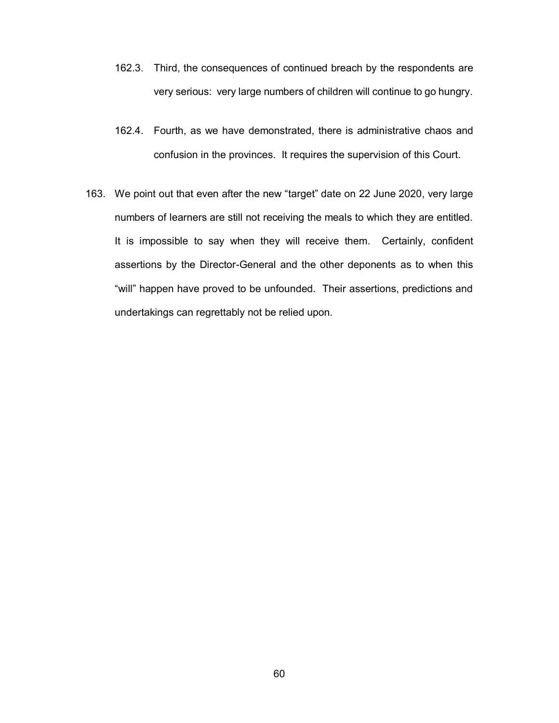- 162.3. Third, the consequences of continued breach by the respondents are very serious: very large numbers of children will continue to go hungry.
- 162.4. Fourth, as we have demonstrated, there is administrative chaos and confusion in the provinces. It requires the supervision of this Court.
- 163. We point out that even after the new "target" date on 22 June 2020, very large numbers of learners are still not receiving the meals to which they are entitled. It is impossible to say when they will receive them. Certainly, confident assertions by the Director-General and the other deponents as to when this "will" happen have proved to be unfounded. Their assertions, predictions and undertakings can regrettably not be relied upon.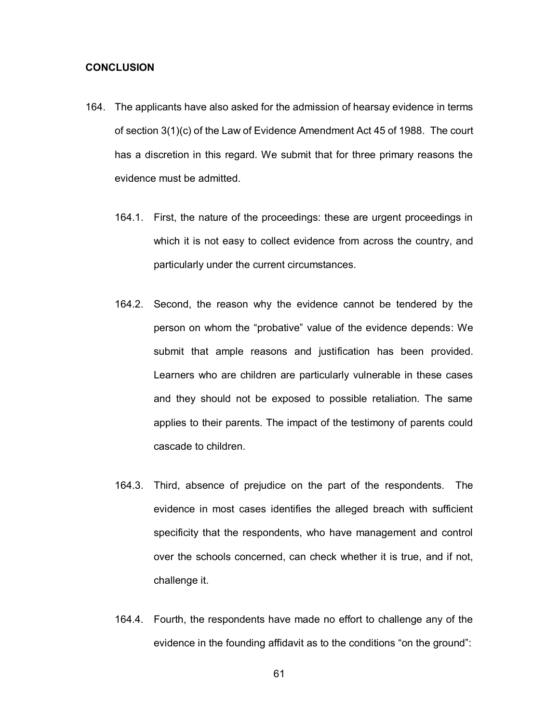#### **CONCLUSION**

- 164. The applicants have also asked for the admission of hearsay evidence in terms of section 3(1)(c) of the Law of Evidence Amendment Act 45 of 1988. The court has a discretion in this regard. We submit that for three primary reasons the evidence must be admitted.
	- 164.1. First, the nature of the proceedings: these are urgent proceedings in which it is not easy to collect evidence from across the country, and particularly under the current circumstances.
	- 164.2. Second, the reason why the evidence cannot be tendered by the person on whom the "probative" value of the evidence depends: We submit that ample reasons and justification has been provided. Learners who are children are particularly vulnerable in these cases and they should not be exposed to possible retaliation. The same applies to their parents. The impact of the testimony of parents could cascade to children.
	- 164.3. Third, absence of prejudice on the part of the respondents. The evidence in most cases identifies the alleged breach with sufficient specificity that the respondents, who have management and control over the schools concerned, can check whether it is true, and if not, challenge it.
	- 164.4. Fourth, the respondents have made no effort to challenge any of the evidence in the founding affidavit as to the conditions "on the ground":